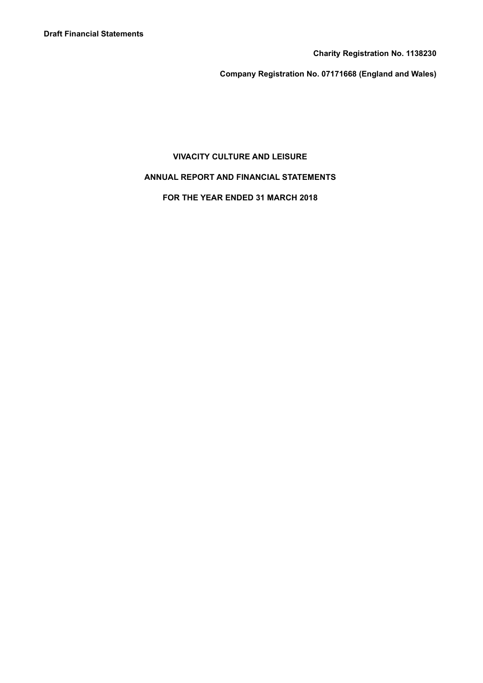Charity Registration No. 1138230

Company Registration No. 07171668 (England and Wales)

### VIVACITY CULTURE AND LEISURE

### ANNUAL REPORT AND FINANCIAL STATEMENTS

### FOR THE YEAR ENDED 31 MARCH 2018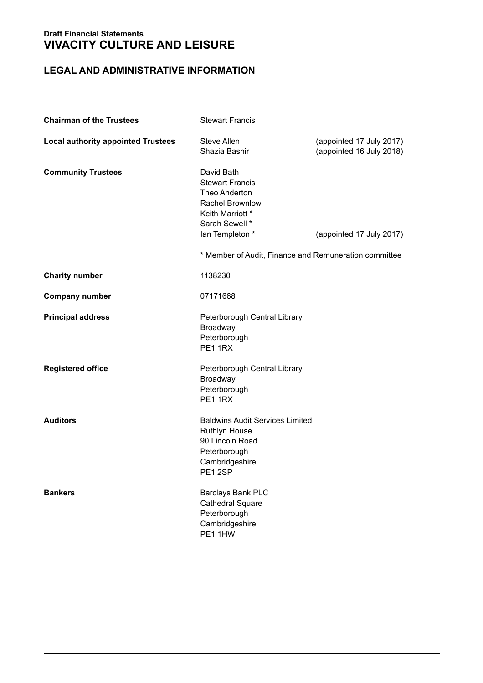## LEGAL AND ADMINISTRATIVE INFORMATION

| <b>Chairman of the Trustees</b>           | <b>Stewart Francis</b>                                                                                                                   |                                                      |
|-------------------------------------------|------------------------------------------------------------------------------------------------------------------------------------------|------------------------------------------------------|
| <b>Local authority appointed Trustees</b> | Steve Allen<br>Shazia Bashir                                                                                                             | (appointed 17 July 2017)<br>(appointed 16 July 2018) |
| <b>Community Trustees</b>                 | David Bath<br><b>Stewart Francis</b><br>Theo Anderton<br><b>Rachel Brownlow</b><br>Keith Marriott *<br>Sarah Sewell *<br>lan Templeton * | (appointed 17 July 2017)                             |
|                                           | * Member of Audit, Finance and Remuneration committee                                                                                    |                                                      |
| <b>Charity number</b>                     | 1138230                                                                                                                                  |                                                      |
| <b>Company number</b>                     | 07171668                                                                                                                                 |                                                      |
| <b>Principal address</b>                  | Peterborough Central Library<br>Broadway<br>Peterborough<br>PE1 1RX                                                                      |                                                      |
| <b>Registered office</b>                  | Peterborough Central Library<br>Broadway<br>Peterborough<br>PE1 1RX                                                                      |                                                      |
| <b>Auditors</b>                           | <b>Baldwins Audit Services Limited</b><br>Ruthlyn House<br>90 Lincoln Road<br>Peterborough<br>Cambridgeshire<br>PE1 2SP                  |                                                      |
| <b>Bankers</b>                            | Barclays Bank PLC<br>Cathedral Square<br>Peterborough<br>Cambridgeshire<br>PE1 1HW                                                       |                                                      |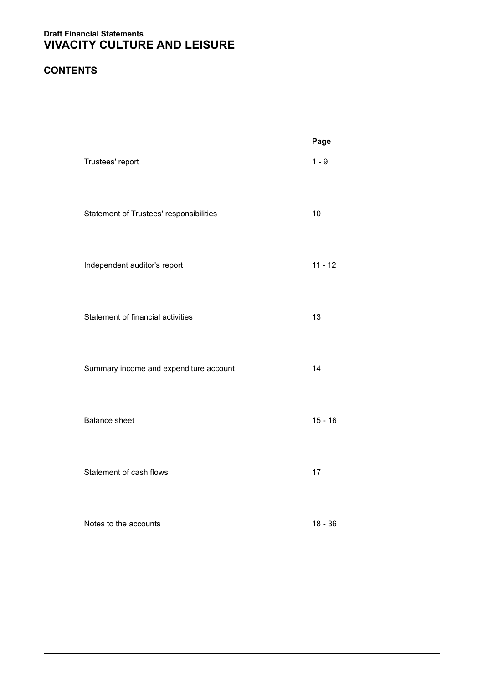## **CONTENTS**

|                                         | Page      |
|-----------------------------------------|-----------|
| Trustees' report                        | $1 - 9$   |
| Statement of Trustees' responsibilities | 10        |
| Independent auditor's report            | $11 - 12$ |
| Statement of financial activities       | 13        |
| Summary income and expenditure account  | 14        |
| <b>Balance sheet</b>                    | $15 - 16$ |
| Statement of cash flows                 | 17        |
| Notes to the accounts                   | $18 - 36$ |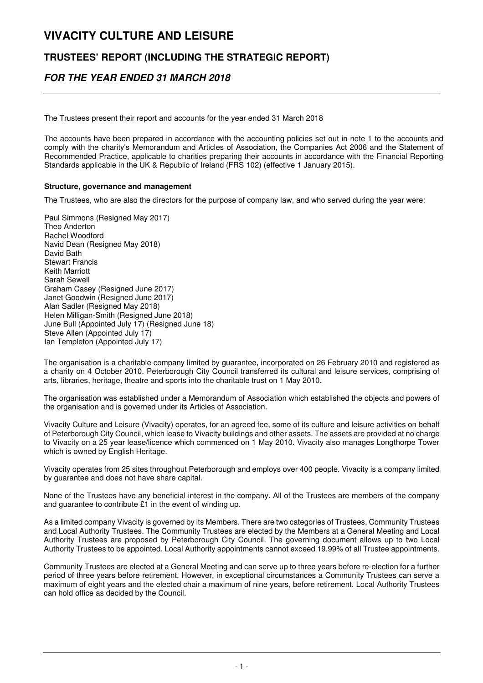## **TRUSTEES' REPORT (INCLUDING THE STRATEGIC REPORT)**

## **FOR THE YEAR ENDED 31 MARCH 2018**

The Trustees present their report and accounts for the year ended 31 March 2018

The accounts have been prepared in accordance with the accounting policies set out in note 1 to the accounts and comply with the charity's Memorandum and Articles of Association, the Companies Act 2006 and the Statement of Recommended Practice, applicable to charities preparing their accounts in accordance with the Financial Reporting Standards applicable in the UK & Republic of Ireland (FRS 102) (effective 1 January 2015).

### **Structure, governance and management**

The Trustees, who are also the directors for the purpose of company law, and who served during the year were:

Paul Simmons (Resigned May 2017) Theo Anderton Rachel Woodford Navid Dean (Resigned May 2018) David Bath Stewart Francis Keith Marriott Sarah Sewell Graham Casey (Resigned June 2017) Janet Goodwin (Resigned June 2017) Alan Sadler (Resigned May 2018) Helen Milligan-Smith (Resigned June 2018) June Bull (Appointed July 17) (Resigned June 18) Steve Allen (Appointed July 17) Ian Templeton (Appointed July 17)

The organisation is a charitable company limited by guarantee, incorporated on 26 February 2010 and registered as a charity on 4 October 2010. Peterborough City Council transferred its cultural and leisure services, comprising of arts, libraries, heritage, theatre and sports into the charitable trust on 1 May 2010.

The organisation was established under a Memorandum of Association which established the objects and powers of the organisation and is governed under its Articles of Association.

Vivacity Culture and Leisure (Vivacity) operates, for an agreed fee, some of its culture and leisure activities on behalf of Peterborough City Council, which lease to Vivacity buildings and other assets. The assets are provided at no charge to Vivacity on a 25 year lease/licence which commenced on 1 May 2010. Vivacity also manages Longthorpe Tower which is owned by English Heritage.

Vivacity operates from 25 sites throughout Peterborough and employs over 400 people. Vivacity is a company limited by guarantee and does not have share capital.

None of the Trustees have any beneficial interest in the company. All of the Trustees are members of the company and guarantee to contribute £1 in the event of winding up.

As a limited company Vivacity is governed by its Members. There are two categories of Trustees, Community Trustees and Local Authority Trustees. The Community Trustees are elected by the Members at a General Meeting and Local Authority Trustees are proposed by Peterborough City Council. The governing document allows up to two Local Authority Trustees to be appointed. Local Authority appointments cannot exceed 19.99% of all Trustee appointments.

Community Trustees are elected at a General Meeting and can serve up to three years before re-election for a further period of three years before retirement. However, in exceptional circumstances a Community Trustees can serve a maximum of eight years and the elected chair a maximum of nine years, before retirement. Local Authority Trustees can hold office as decided by the Council.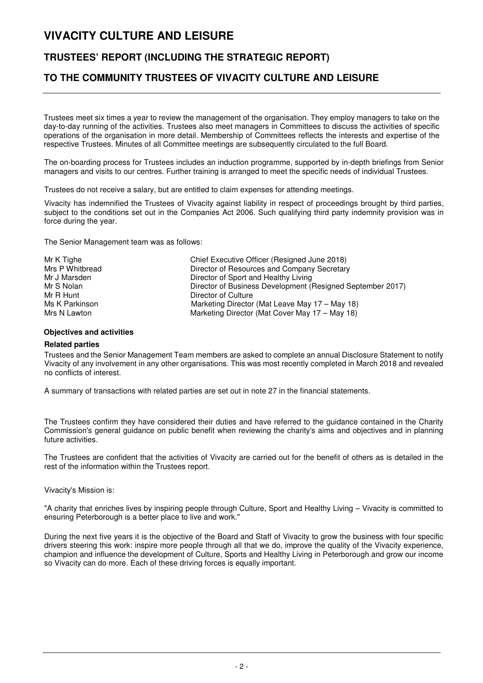## **TRUSTEES' REPORT (INCLUDING THE STRATEGIC REPORT)**

### **TO THE COMMUNITY TRUSTEES OF VIVACITY CULTURE AND LEISURE**

Trustees meet six times a year to review the management of the organisation. They employ managers to take on the day-to-day running of the activities. Trustees also meet managers in Committees to discuss the activities of specific operations of the organisation in more detail. Membership of Committees reflects the interests and expertise of the respective Trustees. Minutes of all Committee meetings are subsequently circulated to the full Board.

The on-boarding process for Trustees includes an induction programme, supported by in-depth briefings from Senior managers and visits to our centres. Further training is arranged to meet the specific needs of individual Trustees.

Trustees do not receive a salary, but are entitled to claim expenses for attending meetings.

Vivacity has indemnified the Trustees of Vivacity against liability in respect of proceedings brought by third parties, subject to the conditions set out in the Companies Act 2006. Such qualifying third party indemnity provision was in force during the year.

The Senior Management team was as follows:

| Mr K Tighe      | Chief Executive Officer (Resigned June 2018)               |
|-----------------|------------------------------------------------------------|
| Mrs P Whitbread | Director of Resources and Company Secretary                |
| Mr J Marsden    | Director of Sport and Healthy Living                       |
| Mr S Nolan      | Director of Business Development (Resigned September 2017) |
| Mr R Hunt       | Director of Culture                                        |
| Ms K Parkinson  | Marketing Director (Mat Leave May 17 – May 18)             |
| Mrs N Lawton    | Marketing Director (Mat Cover May 17 – May 18)             |

### **Objectives and activities**

#### **Related parties**

Trustees and the Senior Management Team members are asked to complete an annual Disclosure Statement to notify Vivacity of any involvement in any other organisations. This was most recently completed in March 2018 and revealed no conflicts of interest.

A summary of transactions with related parties are set out in note 27 in the financial statements.

The Trustees confirm they have considered their duties and have referred to the guidance contained in the Charity Commission's general guidance on public benefit when reviewing the charity's aims and objectives and in planning future activities.

The Trustees are confident that the activities of Vivacity are carried out for the benefit of others as is detailed in the rest of the information within the Trustees report.

Vivacity's Mission is:

"A charity that enriches lives by inspiring people through Culture, Sport and Healthy Living – Vivacity is committed to ensuring Peterborough is a better place to live and work."

During the next five years it is the objective of the Board and Staff of Vivacity to grow the business with four specific drivers steering this work: inspire more people through all that we do, improve the quality of the Vivacity experience, champion and influence the development of Culture, Sports and Healthy Living in Peterborough and grow our income so Vivacity can do more. Each of these driving forces is equally important.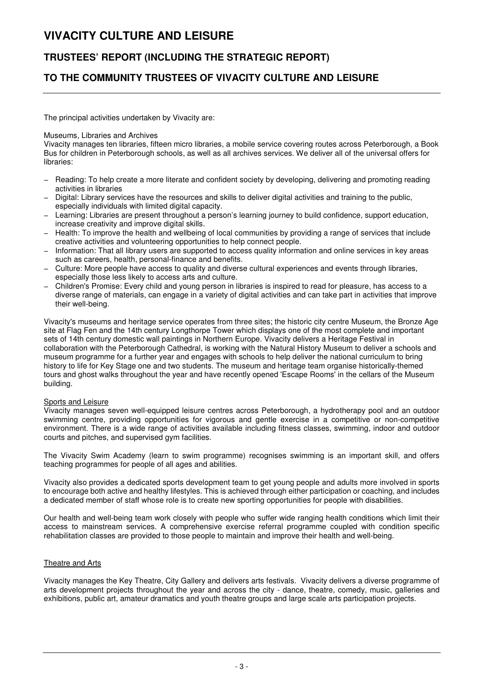## **TRUSTEES' REPORT (INCLUDING THE STRATEGIC REPORT)**

## **TO THE COMMUNITY TRUSTEES OF VIVACITY CULTURE AND LEISURE**

The principal activities undertaken by Vivacity are:

#### Museums, Libraries and Archives

Vivacity manages ten libraries, fifteen micro libraries, a mobile service covering routes across Peterborough, a Book Bus for children in Peterborough schools, as well as all archives services. We deliver all of the universal offers for libraries:

- − Reading: To help create a more literate and confident society by developing, delivering and promoting reading activities in libraries
- − Digital: Library services have the resources and skills to deliver digital activities and training to the public, especially individuals with limited digital capacity.
- − Learning: Libraries are present throughout a person's learning journey to build confidence, support education, increase creativity and improve digital skills.
- − Health: To improve the health and wellbeing of local communities by providing a range of services that include creative activities and volunteering opportunities to help connect people.
- − Information: That all library users are supported to access quality information and online services in key areas such as careers, health, personal-finance and benefits.
- − Culture: More people have access to quality and diverse cultural experiences and events through libraries, especially those less likely to access arts and culture.
- − Children's Promise: Every child and young person in libraries is inspired to read for pleasure, has access to a diverse range of materials, can engage in a variety of digital activities and can take part in activities that improve their well-being.

Vivacity's museums and heritage service operates from three sites; the historic city centre Museum, the Bronze Age site at Flag Fen and the 14th century Longthorpe Tower which displays one of the most complete and important sets of 14th century domestic wall paintings in Northern Europe. Vivacity delivers a Heritage Festival in collaboration with the Peterborough Cathedral, is working with the Natural History Museum to deliver a schools and museum programme for a further year and engages with schools to help deliver the national curriculum to bring history to life for Key Stage one and two students. The museum and heritage team organise historically-themed tours and ghost walks throughout the year and have recently opened 'Escape Rooms' in the cellars of the Museum building.

### Sports and Leisure

Vivacity manages seven well-equipped leisure centres across Peterborough, a hydrotherapy pool and an outdoor swimming centre, providing opportunities for vigorous and gentle exercise in a competitive or non-competitive environment. There is a wide range of activities available including fitness classes, swimming, indoor and outdoor courts and pitches, and supervised gym facilities.

The Vivacity Swim Academy (learn to swim programme) recognises swimming is an important skill, and offers teaching programmes for people of all ages and abilities.

Vivacity also provides a dedicated sports development team to get young people and adults more involved in sports to encourage both active and healthy lifestyles. This is achieved through either participation or coaching, and includes a dedicated member of staff whose role is to create new sporting opportunities for people with disabilities.

Our health and well-being team work closely with people who suffer wide ranging health conditions which limit their access to mainstream services. A comprehensive exercise referral programme coupled with condition specific rehabilitation classes are provided to those people to maintain and improve their health and well-being.

### Theatre and Arts

Vivacity manages the Key Theatre, City Gallery and delivers arts festivals. Vivacity delivers a diverse programme of arts development projects throughout the year and across the city - dance, theatre, comedy, music, galleries and exhibitions, public art, amateur dramatics and youth theatre groups and large scale arts participation projects.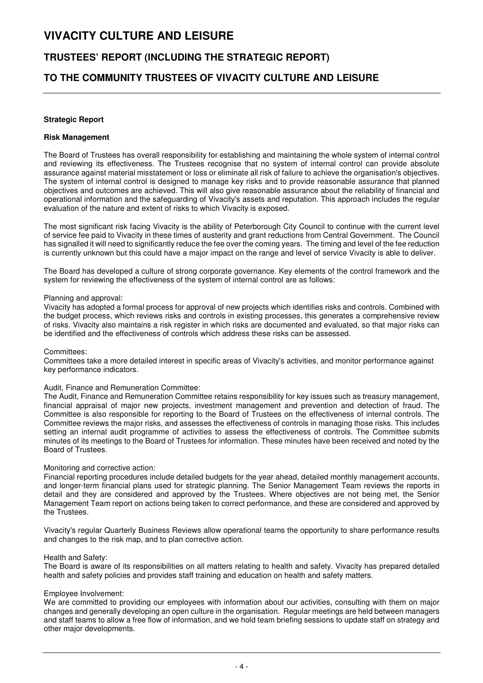### **TRUSTEES' REPORT (INCLUDING THE STRATEGIC REPORT)**

### **TO THE COMMUNITY TRUSTEES OF VIVACITY CULTURE AND LEISURE**

### **Strategic Report**

### **Risk Management**

The Board of Trustees has overall responsibility for establishing and maintaining the whole system of internal control and reviewing its effectiveness. The Trustees recognise that no system of internal control can provide absolute assurance against material misstatement or loss or eliminate all risk of failure to achieve the organisation's objectives. The system of internal control is designed to manage key risks and to provide reasonable assurance that planned objectives and outcomes are achieved. This will also give reasonable assurance about the reliability of financial and operational information and the safeguarding of Vivacity's assets and reputation. This approach includes the regular evaluation of the nature and extent of risks to which Vivacity is exposed.

The most significant risk facing Vivacity is the ability of Peterborough City Council to continue with the current level of service fee paid to Vivacity in these times of austerity and grant reductions from Central Government. The Council has signalled it will need to significantly reduce the fee over the coming years. The timing and level of the fee reduction is currently unknown but this could have a major impact on the range and level of service Vivacity is able to deliver.

The Board has developed a culture of strong corporate governance. Key elements of the control framework and the system for reviewing the effectiveness of the system of internal control are as follows:

#### Planning and approval:

Vivacity has adopted a formal process for approval of new projects which identifies risks and controls. Combined with the budget process, which reviews risks and controls in existing processes, this generates a comprehensive review of risks. Vivacity also maintains a risk register in which risks are documented and evaluated, so that major risks can be identified and the effectiveness of controls which address these risks can be assessed.

### Committees:

Committees take a more detailed interest in specific areas of Vivacity's activities, and monitor performance against key performance indicators.

### Audit, Finance and Remuneration Committee:

The Audit, Finance and Remuneration Committee retains responsibility for key issues such as treasury management, financial appraisal of major new projects, investment management and prevention and detection of fraud. The Committee is also responsible for reporting to the Board of Trustees on the effectiveness of internal controls. The Committee reviews the major risks, and assesses the effectiveness of controls in managing those risks. This includes setting an internal audit programme of activities to assess the effectiveness of controls. The Committee submits minutes of its meetings to the Board of Trustees for information. These minutes have been received and noted by the Board of Trustees.

### Monitoring and corrective action:

Financial reporting procedures include detailed budgets for the year ahead, detailed monthly management accounts, and longer-term financial plans used for strategic planning. The Senior Management Team reviews the reports in detail and they are considered and approved by the Trustees. Where objectives are not being met, the Senior Management Team report on actions being taken to correct performance, and these are considered and approved by the Trustees.

Vivacity's regular Quarterly Business Reviews allow operational teams the opportunity to share performance results and changes to the risk map, and to plan corrective action.

### Health and Safety:

The Board is aware of its responsibilities on all matters relating to health and safety. Vivacity has prepared detailed health and safety policies and provides staff training and education on health and safety matters.

### Employee Involvement:

We are committed to providing our employees with information about our activities, consulting with them on major changes and generally developing an open culture in the organisation. Regular meetings are held between managers and staff teams to allow a free flow of information, and we hold team briefing sessions to update staff on strategy and other major developments.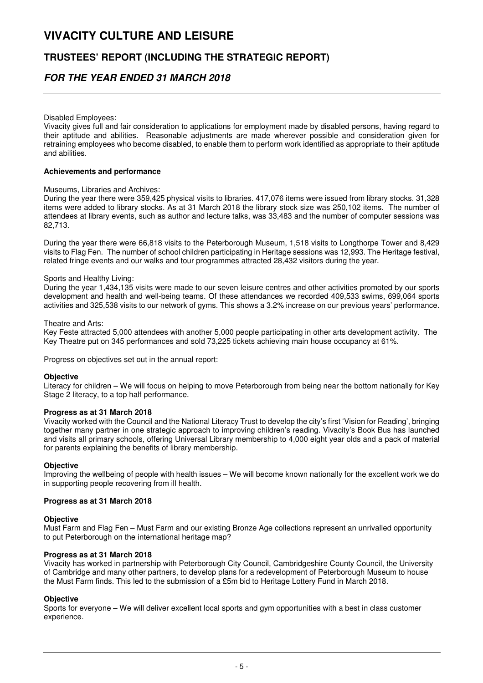### **TRUSTEES' REPORT (INCLUDING THE STRATEGIC REPORT)**

### **FOR THE YEAR ENDED 31 MARCH 2018**

Disabled Employees:

Vivacity gives full and fair consideration to applications for employment made by disabled persons, having regard to their aptitude and abilities. Reasonable adjustments are made wherever possible and consideration given for retraining employees who become disabled, to enable them to perform work identified as appropriate to their aptitude and abilities.

### **Achievements and performance**

#### Museums, Libraries and Archives:

During the year there were 359,425 physical visits to libraries. 417,076 items were issued from library stocks. 31,328 items were added to library stocks. As at 31 March 2018 the library stock size was 250,102 items. The number of attendees at library events, such as author and lecture talks, was 33,483 and the number of computer sessions was 82,713.

During the year there were 66,818 visits to the Peterborough Museum, 1,518 visits to Longthorpe Tower and 8,429 visits to Flag Fen. The number of school children participating in Heritage sessions was 12,993. The Heritage festival, related fringe events and our walks and tour programmes attracted 28,432 visitors during the year.

#### Sports and Healthy Living:

During the year 1,434,135 visits were made to our seven leisure centres and other activities promoted by our sports development and health and well-being teams. Of these attendances we recorded 409,533 swims, 699,064 sports activities and 325,538 visits to our network of gyms. This shows a 3.2% increase on our previous years' performance.

Theatre and Arts:

Key Feste attracted 5,000 attendees with another 5,000 people participating in other arts development activity. The Key Theatre put on 345 performances and sold 73,225 tickets achieving main house occupancy at 61%.

Progress on objectives set out in the annual report:

### **Objective**

Literacy for children – We will focus on helping to move Peterborough from being near the bottom nationally for Key Stage 2 literacy, to a top half performance.

### **Progress as at 31 March 2018**

Vivacity worked with the Council and the National Literacy Trust to develop the city's first 'Vision for Reading', bringing together many partner in one strategic approach to improving children's reading. Vivacity's Book Bus has launched and visits all primary schools, offering Universal Library membership to 4,000 eight year olds and a pack of material for parents explaining the benefits of library membership.

### **Objective**

Improving the wellbeing of people with health issues – We will become known nationally for the excellent work we do in supporting people recovering from ill health.

### **Progress as at 31 March 2018**

#### **Objective**

Must Farm and Flag Fen – Must Farm and our existing Bronze Age collections represent an unrivalled opportunity to put Peterborough on the international heritage map?

### **Progress as at 31 March 2018**

Vivacity has worked in partnership with Peterborough City Council, Cambridgeshire County Council, the University of Cambridge and many other partners, to develop plans for a redevelopment of Peterborough Museum to house the Must Farm finds. This led to the submission of a £5m bid to Heritage Lottery Fund in March 2018.

### **Objective**

Sports for everyone – We will deliver excellent local sports and gym opportunities with a best in class customer experience.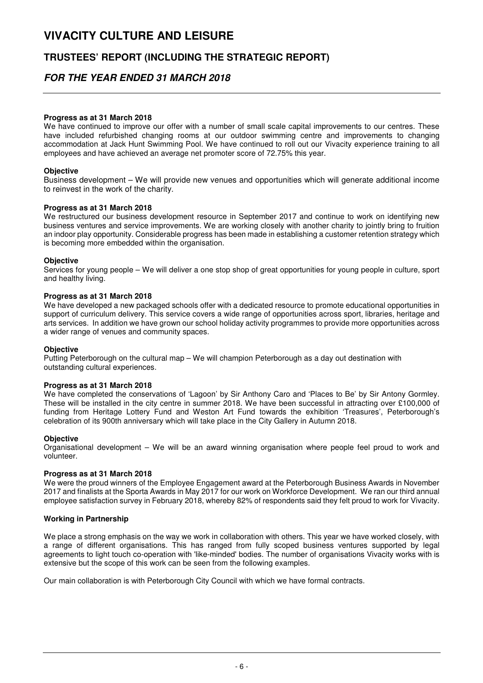### **TRUSTEES' REPORT (INCLUDING THE STRATEGIC REPORT)**

### **FOR THE YEAR ENDED 31 MARCH 2018**

### **Progress as at 31 March 2018**

We have continued to improve our offer with a number of small scale capital improvements to our centres. These have included refurbished changing rooms at our outdoor swimming centre and improvements to changing accommodation at Jack Hunt Swimming Pool. We have continued to roll out our Vivacity experience training to all employees and have achieved an average net promoter score of 72.75% this year.

### **Objective**

Business development – We will provide new venues and opportunities which will generate additional income to reinvest in the work of the charity.

### **Progress as at 31 March 2018**

We restructured our business development resource in September 2017 and continue to work on identifying new business ventures and service improvements. We are working closely with another charity to jointly bring to fruition an indoor play opportunity. Considerable progress has been made in establishing a customer retention strategy which is becoming more embedded within the organisation.

### **Objective**

Services for young people – We will deliver a one stop shop of great opportunities for young people in culture, sport and healthy living.

### **Progress as at 31 March 2018**

We have developed a new packaged schools offer with a dedicated resource to promote educational opportunities in support of curriculum delivery. This service covers a wide range of opportunities across sport, libraries, heritage and arts services. In addition we have grown our school holiday activity programmes to provide more opportunities across a wider range of venues and community spaces.

### **Objective**

Putting Peterborough on the cultural map – We will champion Peterborough as a day out destination with outstanding cultural experiences.

### **Progress as at 31 March 2018**

We have completed the conservations of 'Lagoon' by Sir Anthony Caro and 'Places to Be' by Sir Antony Gormley. These will be installed in the city centre in summer 2018. We have been successful in attracting over £100,000 of funding from Heritage Lottery Fund and Weston Art Fund towards the exhibition 'Treasures', Peterborough's celebration of its 900th anniversary which will take place in the City Gallery in Autumn 2018.

### **Objective**

Organisational development – We will be an award winning organisation where people feel proud to work and volunteer.

### **Progress as at 31 March 2018**

We were the proud winners of the Employee Engagement award at the Peterborough Business Awards in November 2017 and finalists at the Sporta Awards in May 2017 for our work on Workforce Development. We ran our third annual employee satisfaction survey in February 2018, whereby 82% of respondents said they felt proud to work for Vivacity.

### **Working in Partnership**

We place a strong emphasis on the way we work in collaboration with others. This year we have worked closely, with a range of different organisations. This has ranged from fully scoped business ventures supported by legal agreements to light touch co-operation with 'like-minded' bodies. The number of organisations Vivacity works with is extensive but the scope of this work can be seen from the following examples.

Our main collaboration is with Peterborough City Council with which we have formal contracts.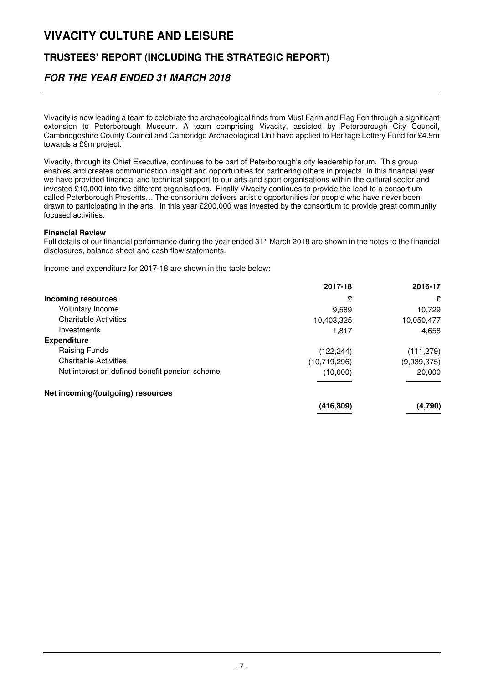## **TRUSTEES' REPORT (INCLUDING THE STRATEGIC REPORT)**

## **FOR THE YEAR ENDED 31 MARCH 2018**

Vivacity is now leading a team to celebrate the archaeological finds from Must Farm and Flag Fen through a significant extension to Peterborough Museum. A team comprising Vivacity, assisted by Peterborough City Council, Cambridgeshire County Council and Cambridge Archaeological Unit have applied to Heritage Lottery Fund for £4.9m towards a £9m project.

Vivacity, through its Chief Executive, continues to be part of Peterborough's city leadership forum. This group enables and creates communication insight and opportunities for partnering others in projects. In this financial year we have provided financial and technical support to our arts and sport organisations within the cultural sector and invested £10,000 into five different organisations. Finally Vivacity continues to provide the lead to a consortium called Peterborough Presents… The consortium delivers artistic opportunities for people who have never been drawn to participating in the arts. In this year £200,000 was invested by the consortium to provide great community focused activities.

### **Financial Review**

Full details of our financial performance during the year ended 31<sup>st</sup> March 2018 are shown in the notes to the financial disclosures, balance sheet and cash flow statements.

Income and expenditure for 2017-18 are shown in the table below:

|                                                | 2017-18      | 2016-17     |
|------------------------------------------------|--------------|-------------|
| Incoming resources                             | £            | £           |
| Voluntary Income                               | 9,589        | 10,729      |
| <b>Charitable Activities</b>                   | 10,403,325   | 10,050,477  |
| Investments                                    | 1,817        | 4,658       |
| <b>Expenditure</b>                             |              |             |
| Raising Funds                                  | (122, 244)   | (111,279)   |
| <b>Charitable Activities</b>                   | (10,719,296) | (9,939,375) |
| Net interest on defined benefit pension scheme | (10,000)     | 20,000      |
| Net incoming/(outgoing) resources              |              |             |
|                                                | (416, 809)   | (4,790)     |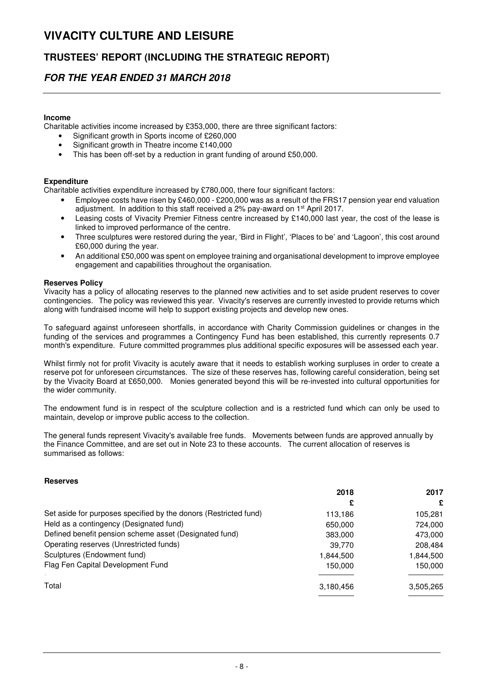## **TRUSTEES' REPORT (INCLUDING THE STRATEGIC REPORT)**

## **FOR THE YEAR ENDED 31 MARCH 2018**

### **Income**

Charitable activities income increased by £353,000, there are three significant factors:

- Significant growth in Sports income of £260,000
- Significant growth in Theatre income £140,000
- This has been off-set by a reduction in grant funding of around £50,000.

### **Expenditure**

Charitable activities expenditure increased by £780,000, there four significant factors:

- Employee costs have risen by £460,000 £200,000 was as a result of the FRS17 pension year end valuation adjustment. In addition to this staff received a 2% pay-award on 1<sup>st</sup> April 2017.
- Leasing costs of Vivacity Premier Fitness centre increased by £140,000 last year, the cost of the lease is linked to improved performance of the centre.
- Three sculptures were restored during the year, 'Bird in Flight', 'Places to be' and 'Lagoon', this cost around £60,000 during the year.
- An additional £50,000 was spent on employee training and organisational development to improve employee engagement and capabilities throughout the organisation.

### **Reserves Policy**

Vivacity has a policy of allocating reserves to the planned new activities and to set aside prudent reserves to cover contingencies. The policy was reviewed this year. Vivacity's reserves are currently invested to provide returns which along with fundraised income will help to support existing projects and develop new ones.

To safeguard against unforeseen shortfalls, in accordance with Charity Commission guidelines or changes in the funding of the services and programmes a Contingency Fund has been established, this currently represents 0.7 month's expenditure. Future committed programmes plus additional specific exposures will be assessed each year.

Whilst firmly not for profit Vivacity is acutely aware that it needs to establish working surpluses in order to create a reserve pot for unforeseen circumstances. The size of these reserves has, following careful consideration, being set by the Vivacity Board at £650,000. Monies generated beyond this will be re-invested into cultural opportunities for the wider community.

The endowment fund is in respect of the sculpture collection and is a restricted fund which can only be used to maintain, develop or improve public access to the collection.

The general funds represent Vivacity's available free funds. Movements between funds are approved annually by the Finance Committee, and are set out in Note 23 to these accounts. The current allocation of reserves is summarised as follows:

### **Reserves**

|                                                                  | 2018      | 2017      |
|------------------------------------------------------------------|-----------|-----------|
|                                                                  | £         | £         |
| Set aside for purposes specified by the donors (Restricted fund) | 113,186   | 105,281   |
| Held as a contingency (Designated fund)                          | 650,000   | 724,000   |
| Defined benefit pension scheme asset (Designated fund)           | 383,000   | 473,000   |
| Operating reserves (Unrestricted funds)                          | 39.770    | 208,484   |
| Sculptures (Endowment fund)                                      | 1,844,500 | 1,844,500 |
| Flag Fen Capital Development Fund                                | 150.000   | 150,000   |
| Total                                                            | 3,180,456 | 3,505,265 |
|                                                                  |           |           |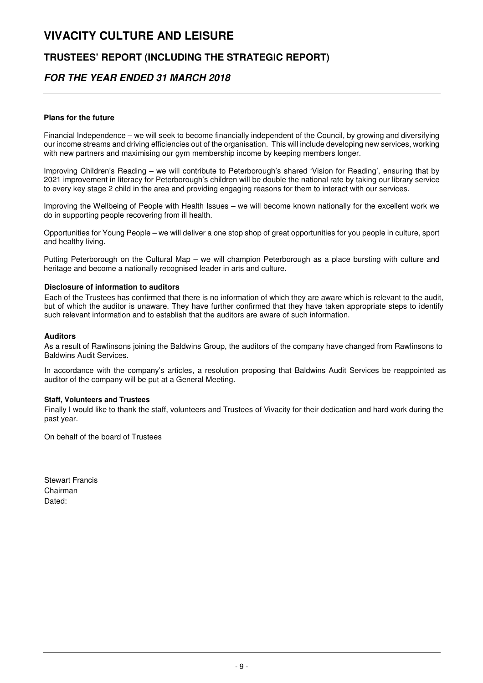### **TRUSTEES' REPORT (INCLUDING THE STRATEGIC REPORT)**

### **FOR THE YEAR ENDED 31 MARCH 2018**

### **Plans for the future**

Financial Independence – we will seek to become financially independent of the Council, by growing and diversifying our income streams and driving efficiencies out of the organisation. This will include developing new services, working with new partners and maximising our gym membership income by keeping members longer.

Improving Children's Reading – we will contribute to Peterborough's shared 'Vision for Reading', ensuring that by 2021 improvement in literacy for Peterborough's children will be double the national rate by taking our library service to every key stage 2 child in the area and providing engaging reasons for them to interact with our services.

Improving the Wellbeing of People with Health Issues – we will become known nationally for the excellent work we do in supporting people recovering from ill health.

Opportunities for Young People – we will deliver a one stop shop of great opportunities for you people in culture, sport and healthy living.

Putting Peterborough on the Cultural Map – we will champion Peterborough as a place bursting with culture and heritage and become a nationally recognised leader in arts and culture.

### **Disclosure of information to auditors**

Each of the Trustees has confirmed that there is no information of which they are aware which is relevant to the audit, but of which the auditor is unaware. They have further confirmed that they have taken appropriate steps to identify such relevant information and to establish that the auditors are aware of such information.

### **Auditors**

As a result of Rawlinsons joining the Baldwins Group, the auditors of the company have changed from Rawlinsons to Baldwins Audit Services.

In accordance with the company's articles, a resolution proposing that Baldwins Audit Services be reappointed as auditor of the company will be put at a General Meeting.

### **Staff, Volunteers and Trustees**

Finally I would like to thank the staff, volunteers and Trustees of Vivacity for their dedication and hard work during the past year.

On behalf of the board of Trustees

Stewart Francis Chairman Dated: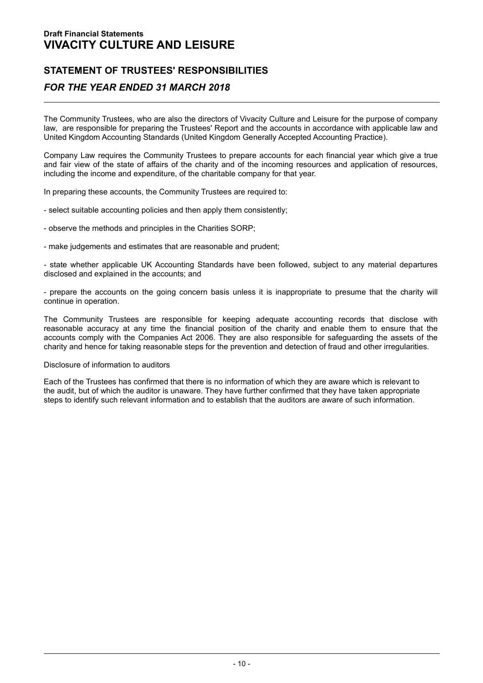### STATEMENT OF TRUSTEES' RESPONSIBILITIES

### FOR THE YEAR ENDED 31 MARCH 2018

The Community Trustees, who are also the directors of Vivacity Culture and Leisure for the purpose of company law, are responsible for preparing the Trustees' Report and the accounts in accordance with applicable law and United Kingdom Accounting Standards (United Kingdom Generally Accepted Accounting Practice).

Company Law requires the Community Trustees to prepare accounts for each financial year which give a true and fair view of the state of affairs of the charity and of the incoming resources and application of resources, including the income and expenditure, of the charitable company for that year.

In preparing these accounts, the Community Trustees are required to:

- select suitable accounting policies and then apply them consistently;

- observe the methods and principles in the Charities SORP;

- make judgements and estimates that are reasonable and prudent;

- state whether applicable UK Accounting Standards have been followed, subject to any material departures disclosed and explained in the accounts; and

- prepare the accounts on the going concern basis unless it is inappropriate to presume that the charity will continue in operation.

The Community Trustees are responsible for keeping adequate accounting records that disclose with reasonable accuracy at any time the financial position of the charity and enable them to ensure that the accounts comply with the Companies Act 2006. They are also responsible for safeguarding the assets of the charity and hence for taking reasonable steps for the prevention and detection of fraud and other irregularities.

### Disclosure of information to auditors

Each of the Trustees has confirmed that there is no information of which they are aware which is relevant to the audit, but of which the auditor is unaware. They have further confirmed that they have taken appropriate steps to identify such relevant information and to establish that the auditors are aware of such information.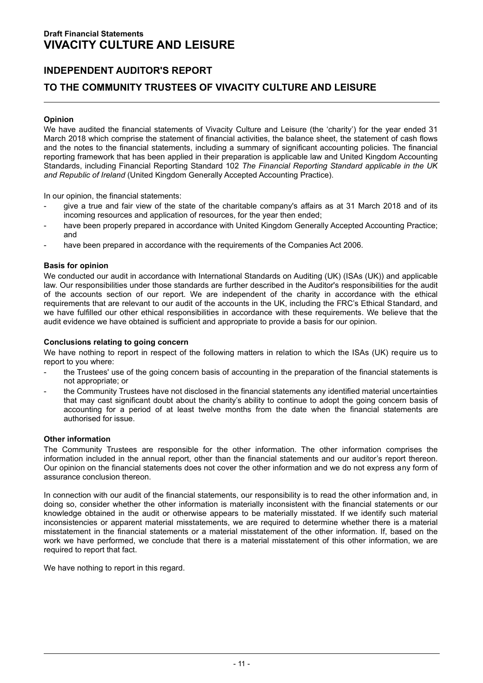## INDEPENDENT AUDITOR'S REPORT

### TO THE COMMUNITY TRUSTEES OF VIVACITY CULTURE AND LEISURE

### Opinion

We have audited the financial statements of Vivacity Culture and Leisure (the 'charity') for the year ended 31 March 2018 which comprise the statement of financial activities, the balance sheet, the statement of cash flows and the notes to the financial statements, including a summary of significant accounting policies. The financial reporting framework that has been applied in their preparation is applicable law and United Kingdom Accounting Standards, including Financial Reporting Standard 102 The Financial Reporting Standard applicable in the UK and Republic of Ireland (United Kingdom Generally Accepted Accounting Practice).

In our opinion, the financial statements:

- give a true and fair view of the state of the charitable company's affairs as at 31 March 2018 and of its incoming resources and application of resources, for the year then ended;
- have been properly prepared in accordance with United Kingdom Generally Accepted Accounting Practice; and
- have been prepared in accordance with the requirements of the Companies Act 2006.

### Basis for opinion

We conducted our audit in accordance with International Standards on Auditing (UK) (ISAs (UK)) and applicable law. Our responsibilities under those standards are further described in the Auditor's responsibilities for the audit of the accounts section of our report. We are independent of the charity in accordance with the ethical requirements that are relevant to our audit of the accounts in the UK, including the FRC's Ethical Standard, and we have fulfilled our other ethical responsibilities in accordance with these requirements. We believe that the audit evidence we have obtained is sufficient and appropriate to provide a basis for our opinion.

### Conclusions relating to going concern

We have nothing to report in respect of the following matters in relation to which the ISAs (UK) require us to report to you where:

- the Trustees' use of the going concern basis of accounting in the preparation of the financial statements is not appropriate; or
- the Community Trustees have not disclosed in the financial statements any identified material uncertainties that may cast significant doubt about the charity's ability to continue to adopt the going concern basis of accounting for a period of at least twelve months from the date when the financial statements are authorised for issue.

### Other information

The Community Trustees are responsible for the other information. The other information comprises the information included in the annual report, other than the financial statements and our auditor's report thereon. Our opinion on the financial statements does not cover the other information and we do not express any form of assurance conclusion thereon.

In connection with our audit of the financial statements, our responsibility is to read the other information and, in doing so, consider whether the other information is materially inconsistent with the financial statements or our knowledge obtained in the audit or otherwise appears to be materially misstated. If we identify such material inconsistencies or apparent material misstatements, we are required to determine whether there is a material misstatement in the financial statements or a material misstatement of the other information. If, based on the work we have performed, we conclude that there is a material misstatement of this other information, we are required to report that fact.

We have nothing to report in this regard.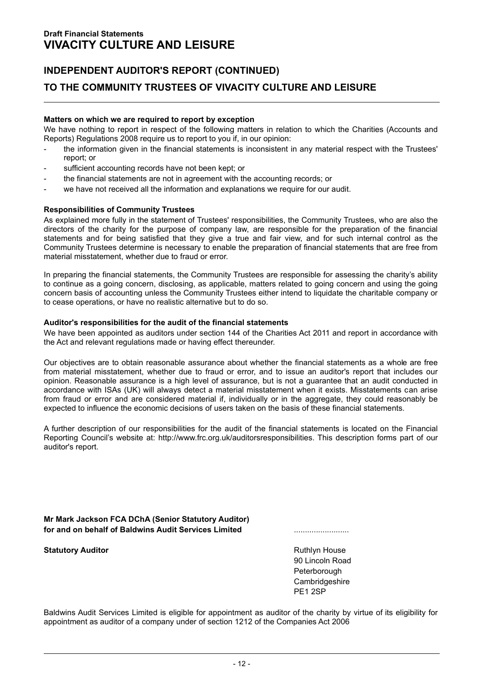## INDEPENDENT AUDITOR'S REPORT (CONTINUED)

### TO THE COMMUNITY TRUSTEES OF VIVACITY CULTURE AND LEISURE

### Matters on which we are required to report by exception

We have nothing to report in respect of the following matters in relation to which the Charities (Accounts and Reports) Regulations 2008 require us to report to you if, in our opinion:

- the information given in the financial statements is inconsistent in any material respect with the Trustees' report; or
- sufficient accounting records have not been kept; or
- the financial statements are not in agreement with the accounting records; or
- we have not received all the information and explanations we require for our audit.

### Responsibilities of Community Trustees

As explained more fully in the statement of Trustees' responsibilities, the Community Trustees, who are also the directors of the charity for the purpose of company law, are responsible for the preparation of the financial statements and for being satisfied that they give a true and fair view, and for such internal control as the Community Trustees determine is necessary to enable the preparation of financial statements that are free from material misstatement, whether due to fraud or error.

In preparing the financial statements, the Community Trustees are responsible for assessing the charity's ability to continue as a going concern, disclosing, as applicable, matters related to going concern and using the going concern basis of accounting unless the Community Trustees either intend to liquidate the charitable company or to cease operations, or have no realistic alternative but to do so.

### Auditor's responsibilities for the audit of the financial statements

We have been appointed as auditors under section 144 of the Charities Act 2011 and report in accordance with the Act and relevant regulations made or having effect thereunder.

Our objectives are to obtain reasonable assurance about whether the financial statements as a whole are free from material misstatement, whether due to fraud or error, and to issue an auditor's report that includes our opinion. Reasonable assurance is a high level of assurance, but is not a guarantee that an audit conducted in accordance with ISAs (UK) will always detect a material misstatement when it exists. Misstatements can arise from fraud or error and are considered material if, individually or in the aggregate, they could reasonably be expected to influence the economic decisions of users taken on the basis of these financial statements.

A further description of our responsibilities for the audit of the financial statements is located on the Financial Reporting Council's website at: http://www.frc.org.uk/auditorsresponsibilities. This description forms part of our auditor's report.

Mr Mark Jackson FCA DChA (Senior Statutory Auditor) for and on behalf of Baldwins Audit Services Limited ............................

**Statutory Auditor Community Community Community Community Community Community Community Community Community Community Community Community Community Community Community Community Community Community Community Community Com** 

90 Lincoln Road Peterborough **Cambridgeshire** PE1 2SP

Baldwins Audit Services Limited is eligible for appointment as auditor of the charity by virtue of its eligibility for appointment as auditor of a company under of section 1212 of the Companies Act 2006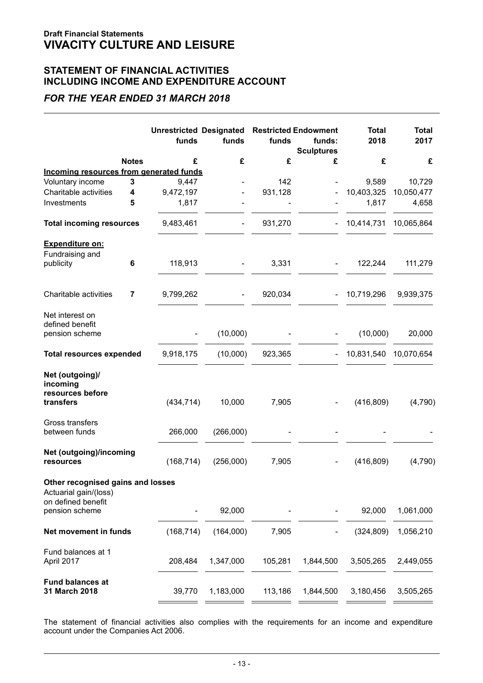### STATEMENT OF FINANCIAL ACTIVITIES INCLUDING INCOME AND EXPENDITURE ACCOUNT

## FOR THE YEAR ENDED 31 MARCH 2018

|                                                              |                         | <b>Unrestricted Designated</b><br>funds | funds     | funds   | <b>Restricted Endowment</b><br>funds:<br><b>Sculptures</b> | <b>Total</b><br>2018 | <b>Total</b><br>2017 |
|--------------------------------------------------------------|-------------------------|-----------------------------------------|-----------|---------|------------------------------------------------------------|----------------------|----------------------|
|                                                              | <b>Notes</b>            | £                                       | £         | £       | £                                                          | £                    | £                    |
| Incoming resources from generated funds                      |                         |                                         |           |         |                                                            |                      |                      |
| Voluntary income                                             | 3                       | 9,447                                   |           | 142     |                                                            | 9,589                | 10,729               |
| Charitable activities                                        | $\overline{\mathbf{4}}$ | 9,472,197                               |           | 931,128 |                                                            | 10,403,325           | 10,050,477           |
| Investments                                                  | 5                       | 1,817                                   |           |         |                                                            | 1,817                | 4,658                |
| <b>Total incoming resources</b>                              |                         | 9,483,461                               |           | 931,270 |                                                            | 10,414,731           | 10,065,864           |
| <b>Expenditure on:</b><br>Fundraising and<br>publicity       | 6                       | 118,913                                 |           | 3,331   |                                                            | 122,244              | 111,279              |
| Charitable activities                                        | 7                       | 9,799,262                               |           | 920,034 |                                                            | 10,719,296           | 9,939,375            |
| Net interest on<br>defined benefit<br>pension scheme         |                         |                                         | (10,000)  |         |                                                            | (10,000)             | 20,000               |
| <b>Total resources expended</b>                              |                         | 9,918,175                               | (10,000)  | 923,365 |                                                            | 10,831,540           | 10,070,654           |
| Net (outgoing)/<br>incoming<br>resources before<br>transfers |                         | (434, 714)                              | 10,000    | 7,905   |                                                            | (416, 809)           | (4,790)              |
| Gross transfers<br>between funds                             |                         | 266,000                                 | (266,000) |         |                                                            |                      |                      |
| Net (outgoing)/incoming<br>resources                         |                         | (168, 714)                              | (256,000) | 7,905   |                                                            | (416, 809)           | (4,790)              |
| Other recognised gains and losses<br>Actuarial gain/(loss)   |                         |                                         |           |         |                                                            |                      |                      |
| on defined benefit<br>pension scheme                         |                         |                                         | 92,000    |         |                                                            | 92,000               | 1,061,000            |
| Net movement in funds                                        |                         | (168, 714)                              | (164,000) | 7,905   |                                                            | (324, 809)           | 1,056,210            |
| Fund balances at 1<br>April 2017                             |                         | 208,484                                 | 1,347,000 | 105,281 | 1,844,500                                                  | 3,505,265            | 2,449,055            |
| <b>Fund balances at</b><br>31 March 2018                     |                         | 39,770                                  | 1,183,000 | 113,186 | 1,844,500                                                  | 3,180,456            | 3,505,265            |

The statement of financial activities also complies with the requirements for an income and expenditure account under the Companies Act 2006.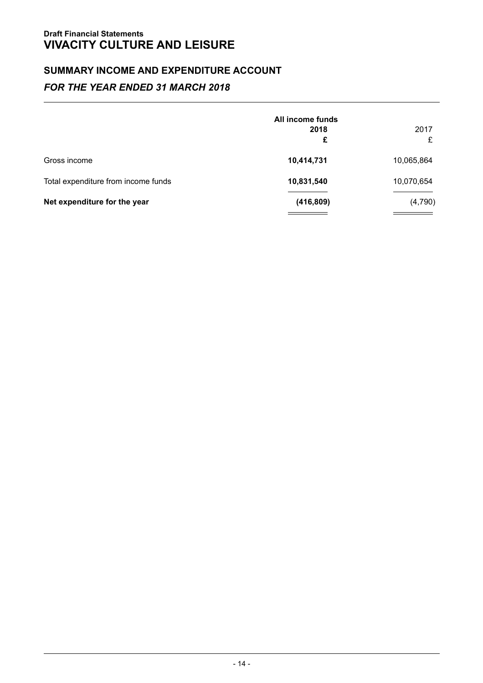## SUMMARY INCOME AND EXPENDITURE ACCOUNT FOR THE YEAR ENDED 31 MARCH 2018

|                                     | All income funds |            |
|-------------------------------------|------------------|------------|
|                                     | 2018<br>£        | 2017<br>£  |
| Gross income                        | 10,414,731       | 10,065,864 |
| Total expenditure from income funds | 10,831,540       | 10,070,654 |
| Net expenditure for the year        | (416, 809)       | (4,790)    |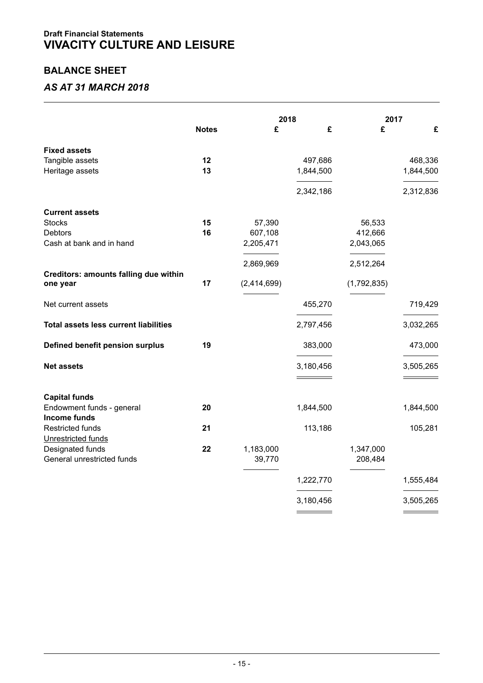## BALANCE SHEET

## AS AT 31 MARCH 2018

|                                                                          |              | 2018                |           | 2017                 |           |
|--------------------------------------------------------------------------|--------------|---------------------|-----------|----------------------|-----------|
|                                                                          | <b>Notes</b> | £                   | £         | £                    | £         |
| <b>Fixed assets</b>                                                      |              |                     |           |                      |           |
| Tangible assets                                                          | 12           |                     | 497,686   |                      | 468,336   |
| Heritage assets                                                          | 13           |                     | 1,844,500 |                      | 1,844,500 |
|                                                                          |              |                     | 2,342,186 |                      | 2,312,836 |
| <b>Current assets</b>                                                    |              |                     |           |                      |           |
| <b>Stocks</b>                                                            | 15           | 57,390              |           | 56,533               |           |
| <b>Debtors</b>                                                           | 16           | 607,108             |           | 412,666              |           |
| Cash at bank and in hand                                                 |              | 2,205,471           |           | 2,043,065            |           |
|                                                                          |              | 2,869,969           |           | 2,512,264            |           |
| <b>Creditors: amounts falling due within</b><br>one year                 | 17           | (2,414,699)         |           | (1,792,835)          |           |
| Net current assets                                                       |              |                     | 455,270   |                      | 719,429   |
| <b>Total assets less current liabilities</b>                             |              |                     | 2,797,456 |                      | 3,032,265 |
| Defined benefit pension surplus                                          | 19           |                     | 383,000   |                      | 473,000   |
| <b>Net assets</b>                                                        |              |                     | 3,180,456 |                      | 3,505,265 |
|                                                                          |              |                     |           |                      |           |
| <b>Capital funds</b><br>Endowment funds - general<br><b>Income funds</b> | 20           |                     | 1,844,500 |                      | 1,844,500 |
| <b>Restricted funds</b>                                                  | 21           |                     | 113,186   |                      | 105,281   |
| Unrestricted funds                                                       |              |                     |           |                      |           |
| Designated funds<br>General unrestricted funds                           | 22           | 1,183,000<br>39,770 |           | 1,347,000<br>208,484 |           |
|                                                                          |              |                     | 1,222,770 |                      | 1,555,484 |
|                                                                          |              |                     | 3,180,456 |                      | 3,505,265 |
|                                                                          |              |                     |           |                      |           |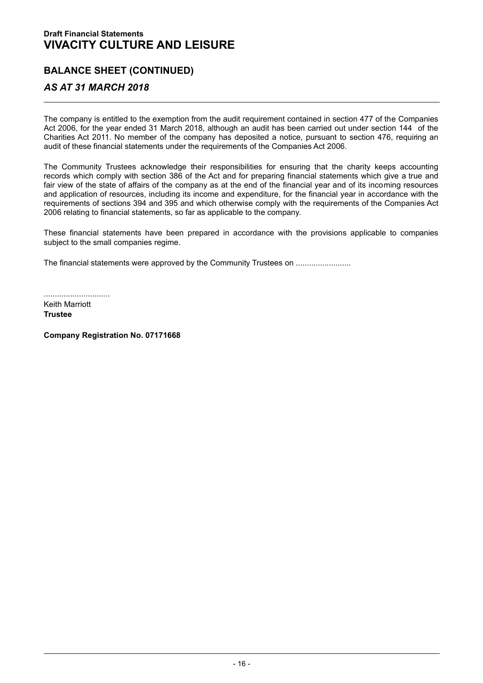## BALANCE SHEET (CONTINUED)

## AS AT 31 MARCH 2018

The company is entitled to the exemption from the audit requirement contained in section 477 of the Companies Act 2006, for the year ended 31 March 2018, although an audit has been carried out under section 144 of the Charities Act 2011. No member of the company has deposited a notice, pursuant to section 476, requiring an audit of these financial statements under the requirements of the Companies Act 2006.

The Community Trustees acknowledge their responsibilities for ensuring that the charity keeps accounting records which comply with section 386 of the Act and for preparing financial statements which give a true and fair view of the state of affairs of the company as at the end of the financial year and of its incoming resources and application of resources, including its income and expenditure, for the financial year in accordance with the requirements of sections 394 and 395 and which otherwise comply with the requirements of the Companies Act 2006 relating to financial statements, so far as applicable to the company.

These financial statements have been prepared in accordance with the provisions applicable to companies subject to the small companies regime.

The financial statements were approved by the Community Trustees on ..........................

.............................. Keith Marriott

**Trustee** 

Company Registration No. 07171668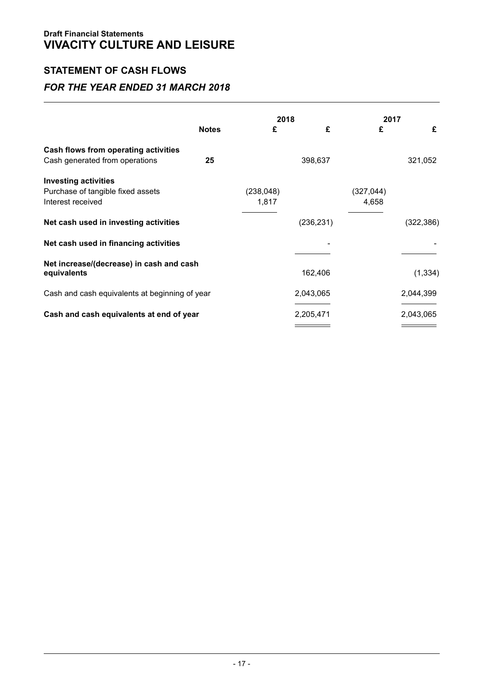## STATEMENT OF CASH FLOWS

## FOR THE YEAR ENDED 31 MARCH 2018

|                                                |              | 2018       |            | 2017       |            |
|------------------------------------------------|--------------|------------|------------|------------|------------|
|                                                | <b>Notes</b> | £          | £          | £          | £          |
| Cash flows from operating activities           |              |            |            |            |            |
| Cash generated from operations                 | 25           |            | 398,637    |            | 321,052    |
| <b>Investing activities</b>                    |              |            |            |            |            |
| Purchase of tangible fixed assets              |              | (238, 048) |            | (327, 044) |            |
| Interest received                              |              | 1,817      |            | 4,658      |            |
|                                                |              |            |            |            |            |
| Net cash used in investing activities          |              |            | (236, 231) |            | (322, 386) |
| Net cash used in financing activities          |              |            |            |            |            |
| Net increase/(decrease) in cash and cash       |              |            |            |            |            |
| equivalents                                    |              |            | 162,406    |            | (1, 334)   |
| Cash and cash equivalents at beginning of year |              |            | 2,043,065  |            | 2,044,399  |
| Cash and cash equivalents at end of year       |              |            | 2,205,471  |            | 2,043,065  |
|                                                |              |            |            |            |            |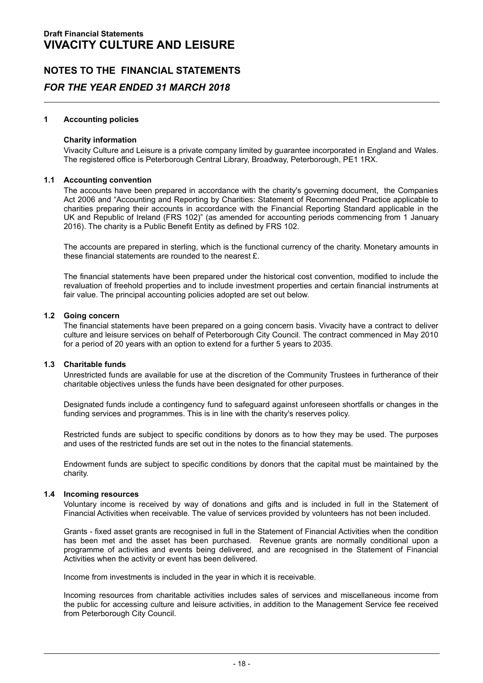## NOTES TO THE FINANCIAL STATEMENTS

### FOR THE YEAR ENDED 31 MARCH 2018

### 1 Accounting policies

### Charity information

Vivacity Culture and Leisure is a private company limited by guarantee incorporated in England and Wales. The registered office is Peterborough Central Library, Broadway, Peterborough, PE1 1RX.

### 1.1 Accounting convention

The accounts have been prepared in accordance with the charity's governing document, the Companies Act 2006 and "Accounting and Reporting by Charities: Statement of Recommended Practice applicable to charities preparing their accounts in accordance with the Financial Reporting Standard applicable in the UK and Republic of Ireland (FRS 102)" (as amended for accounting periods commencing from 1 January 2016). The charity is a Public Benefit Entity as defined by FRS 102.

The accounts are prepared in sterling, which is the functional currency of the charity. Monetary amounts in these financial statements are rounded to the nearest £.

The financial statements have been prepared under the historical cost convention, modified to include the revaluation of freehold properties and to include investment properties and certain financial instruments at fair value. The principal accounting policies adopted are set out below.

### 1.2 Going concern

The financial statements have been prepared on a going concern basis. Vivacity have a contract to deliver culture and leisure services on behalf of Peterborough City Council. The contract commenced in May 2010 for a period of 20 years with an option to extend for a further 5 years to 2035.

### 1.3 Charitable funds

Unrestricted funds are available for use at the discretion of the Community Trustees in furtherance of their charitable objectives unless the funds have been designated for other purposes.

Designated funds include a contingency fund to safeguard against unforeseen shortfalls or changes in the funding services and programmes. This is in line with the charity's reserves policy.

Restricted funds are subject to specific conditions by donors as to how they may be used. The purposes and uses of the restricted funds are set out in the notes to the financial statements.

Endowment funds are subject to specific conditions by donors that the capital must be maintained by the charity.

### 1.4 Incoming resources

Voluntary income is received by way of donations and gifts and is included in full in the Statement of Financial Activities when receivable. The value of services provided by volunteers has not been included.

Grants - fixed asset grants are recognised in full in the Statement of Financial Activities when the condition has been met and the asset has been purchased. Revenue grants are normally conditional upon a programme of activities and events being delivered, and are recognised in the Statement of Financial Activities when the activity or event has been delivered.

Income from investments is included in the year in which it is receivable.

Incoming resources from charitable activities includes sales of services and miscellaneous income from the public for accessing culture and leisure activities, in addition to the Management Service fee received from Peterborough City Council.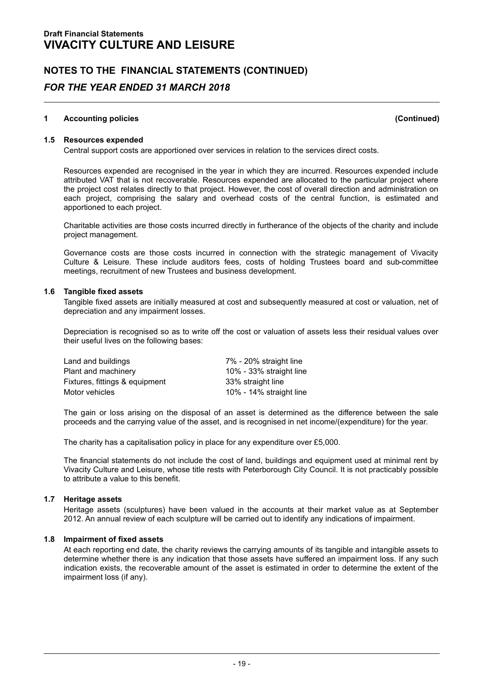### FOR THE YEAR ENDED 31 MARCH 2018

### 1 Accounting policies (Continued)

#### 1.5 Resources expended

Central support costs are apportioned over services in relation to the services direct costs.

Resources expended are recognised in the year in which they are incurred. Resources expended include attributed VAT that is not recoverable. Resources expended are allocated to the particular project where the project cost relates directly to that project. However, the cost of overall direction and administration on each project, comprising the salary and overhead costs of the central function, is estimated and apportioned to each project.

Charitable activities are those costs incurred directly in furtherance of the objects of the charity and include project management.

Governance costs are those costs incurred in connection with the strategic management of Vivacity Culture & Leisure. These include auditors fees, costs of holding Trustees board and sub-committee meetings, recruitment of new Trustees and business development.

### 1.6 Tangible fixed assets

Tangible fixed assets are initially measured at cost and subsequently measured at cost or valuation, net of depreciation and any impairment losses.

Depreciation is recognised so as to write off the cost or valuation of assets less their residual values over their useful lives on the following bases:

| Land and buildings             | 7% - 20% straight line  |
|--------------------------------|-------------------------|
| Plant and machinery            | 10% - 33% straight line |
| Fixtures, fittings & equipment | 33% straight line       |
| Motor vehicles                 | 10% - 14% straight line |

The gain or loss arising on the disposal of an asset is determined as the difference between the sale proceeds and the carrying value of the asset, and is recognised in net income/(expenditure) for the year.

The charity has a capitalisation policy in place for any expenditure over £5,000.

The financial statements do not include the cost of land, buildings and equipment used at minimal rent by Vivacity Culture and Leisure, whose title rests with Peterborough City Council. It is not practicably possible to attribute a value to this benefit.

### 1.7 Heritage assets

Heritage assets (sculptures) have been valued in the accounts at their market value as at September 2012. An annual review of each sculpture will be carried out to identify any indications of impairment.

### 1.8 Impairment of fixed assets

At each reporting end date, the charity reviews the carrying amounts of its tangible and intangible assets to determine whether there is any indication that those assets have suffered an impairment loss. If any such indication exists, the recoverable amount of the asset is estimated in order to determine the extent of the impairment loss (if any).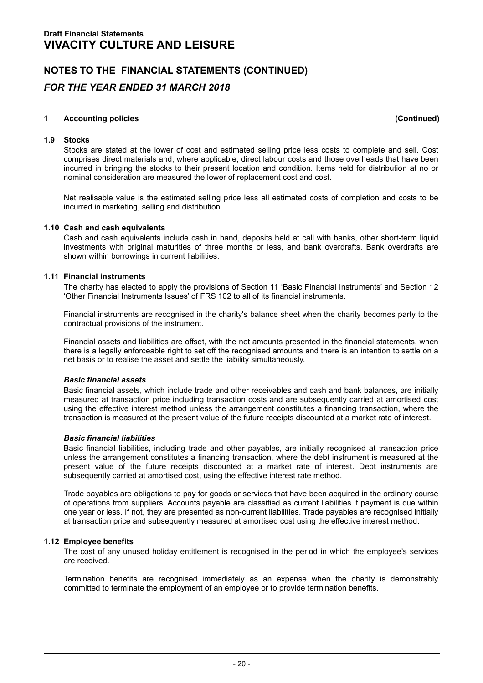### FOR THE YEAR ENDED 31 MARCH 2018

### 1 Accounting policies (Continued)

#### 1.9 Stocks

Stocks are stated at the lower of cost and estimated selling price less costs to complete and sell. Cost comprises direct materials and, where applicable, direct labour costs and those overheads that have been incurred in bringing the stocks to their present location and condition. Items held for distribution at no or nominal consideration are measured the lower of replacement cost and cost.

Net realisable value is the estimated selling price less all estimated costs of completion and costs to be incurred in marketing, selling and distribution.

#### 1.10 Cash and cash equivalents

Cash and cash equivalents include cash in hand, deposits held at call with banks, other short-term liquid investments with original maturities of three months or less, and bank overdrafts. Bank overdrafts are shown within borrowings in current liabilities.

### 1.11 Financial instruments

The charity has elected to apply the provisions of Section 11 'Basic Financial Instruments' and Section 12 'Other Financial Instruments Issues' of FRS 102 to all of its financial instruments.

Financial instruments are recognised in the charity's balance sheet when the charity becomes party to the contractual provisions of the instrument.

Financial assets and liabilities are offset, with the net amounts presented in the financial statements, when there is a legally enforceable right to set off the recognised amounts and there is an intention to settle on a net basis or to realise the asset and settle the liability simultaneously.

### Basic financial assets

Basic financial assets, which include trade and other receivables and cash and bank balances, are initially measured at transaction price including transaction costs and are subsequently carried at amortised cost using the effective interest method unless the arrangement constitutes a financing transaction, where the transaction is measured at the present value of the future receipts discounted at a market rate of interest.

### Basic financial liabilities

Basic financial liabilities, including trade and other payables, are initially recognised at transaction price unless the arrangement constitutes a financing transaction, where the debt instrument is measured at the present value of the future receipts discounted at a market rate of interest. Debt instruments are subsequently carried at amortised cost, using the effective interest rate method.

Trade payables are obligations to pay for goods or services that have been acquired in the ordinary course of operations from suppliers. Accounts payable are classified as current liabilities if payment is due within one year or less. If not, they are presented as non-current liabilities. Trade payables are recognised initially at transaction price and subsequently measured at amortised cost using the effective interest method.

#### 1.12 Employee benefits

The cost of any unused holiday entitlement is recognised in the period in which the employee's services are received.

Termination benefits are recognised immediately as an expense when the charity is demonstrably committed to terminate the employment of an employee or to provide termination benefits.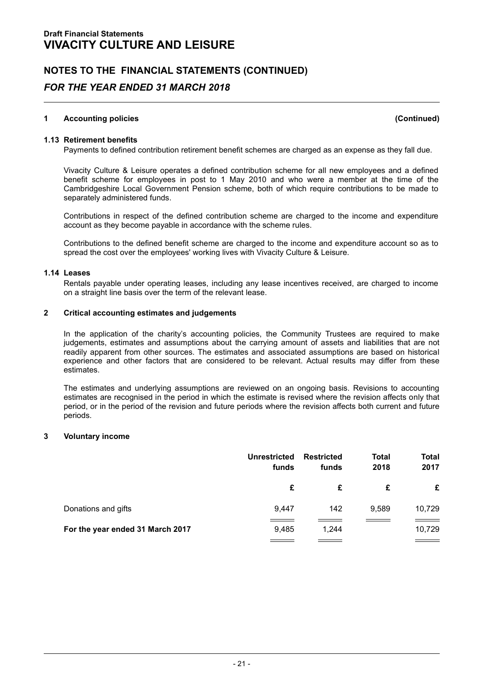### FOR THE YEAR ENDED 31 MARCH 2018

### 1 Accounting policies (Continued)

### 1.13 Retirement benefits

Payments to defined contribution retirement benefit schemes are charged as an expense as they fall due.

Vivacity Culture & Leisure operates a defined contribution scheme for all new employees and a defined benefit scheme for employees in post to 1 May 2010 and who were a member at the time of the Cambridgeshire Local Government Pension scheme, both of which require contributions to be made to separately administered funds.

Contributions in respect of the defined contribution scheme are charged to the income and expenditure account as they become payable in accordance with the scheme rules.

Contributions to the defined benefit scheme are charged to the income and expenditure account so as to spread the cost over the employees' working lives with Vivacity Culture & Leisure.

### 1.14 Leases

Rentals payable under operating leases, including any lease incentives received, are charged to income on a straight line basis over the term of the relevant lease.

### 2 Critical accounting estimates and judgements

In the application of the charity's accounting policies, the Community Trustees are required to make judgements, estimates and assumptions about the carrying amount of assets and liabilities that are not readily apparent from other sources. The estimates and associated assumptions are based on historical experience and other factors that are considered to be relevant. Actual results may differ from these estimates.

The estimates and underlying assumptions are reviewed on an ongoing basis. Revisions to accounting estimates are recognised in the period in which the estimate is revised where the revision affects only that period, or in the period of the revision and future periods where the revision affects both current and future periods.

### 3 Voluntary income

|                                  | <b>Unrestricted</b><br>funds | <b>Restricted</b><br>funds | <b>Total</b><br>2018 | <b>Total</b><br>2017 |
|----------------------------------|------------------------------|----------------------------|----------------------|----------------------|
|                                  | £                            | £                          | £                    | £                    |
| Donations and gifts              | 9.447                        | 142                        | 9,589                | 10,729               |
| For the year ended 31 March 2017 | 9,485                        | 1.244                      |                      | 10,729               |
|                                  |                              |                            |                      |                      |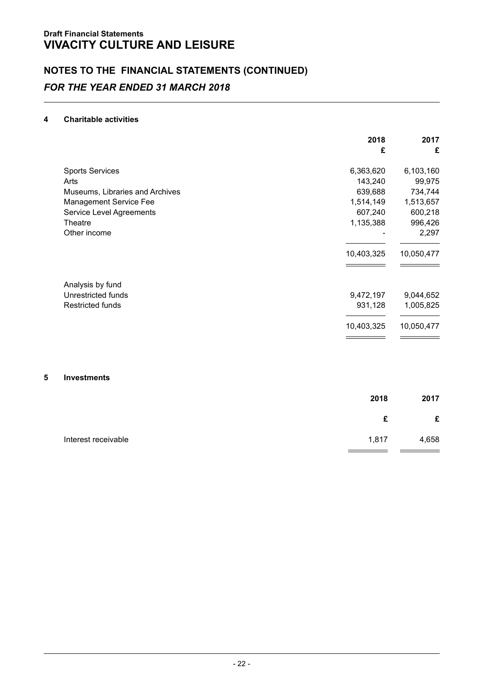## NOTES TO THE FINANCIAL STATEMENTS (CONTINUED) FOR THE YEAR ENDED 31 MARCH 2018

### 4 Charitable activities

|                                 | 2018       | 2017       |
|---------------------------------|------------|------------|
|                                 | £          | £          |
| <b>Sports Services</b>          | 6,363,620  | 6,103,160  |
| Arts                            | 143,240    | 99,975     |
| Museums, Libraries and Archives | 639,688    | 734,744    |
| Management Service Fee          | 1,514,149  | 1,513,657  |
| Service Level Agreements        | 607,240    | 600,218    |
| Theatre                         | 1,135,388  | 996,426    |
| Other income                    |            | 2,297      |
|                                 | 10,403,325 | 10,050,477 |
| Analysis by fund                |            |            |
| Unrestricted funds              | 9,472,197  | 9,044,652  |
| <b>Restricted funds</b>         | 931,128    | 1,005,825  |
|                                 | 10,403,325 | 10,050,477 |
|                                 |            |            |

### 5 Investments

|                     | 2018<br>£ | 2017  |
|---------------------|-----------|-------|
|                     |           | £     |
| Interest receivable | 1,817     | 4,658 |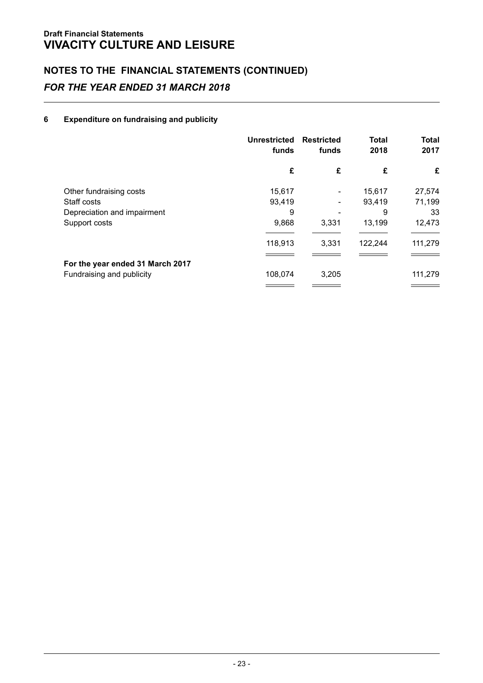### 6 Expenditure on fundraising and publicity

|                                  | Unrestricted<br>funds | <b>Restricted</b><br>funds | <b>Total</b><br>2018 | <b>Total</b><br>2017 |
|----------------------------------|-----------------------|----------------------------|----------------------|----------------------|
|                                  | £                     | £                          | £                    | £                    |
| Other fundraising costs          | 15,617                |                            | 15,617               | 27,574               |
| Staff costs                      | 93,419                |                            | 93,419               | 71,199               |
| Depreciation and impairment      | 9                     |                            | 9                    | 33                   |
| Support costs                    | 9,868                 | 3,331                      | 13,199               | 12,473               |
|                                  | 118,913               | 3,331                      | 122,244              | 111,279              |
| For the year ended 31 March 2017 |                       |                            |                      |                      |
| Fundraising and publicity        | 108,074               | 3,205                      |                      | 111,279              |
|                                  |                       |                            |                      |                      |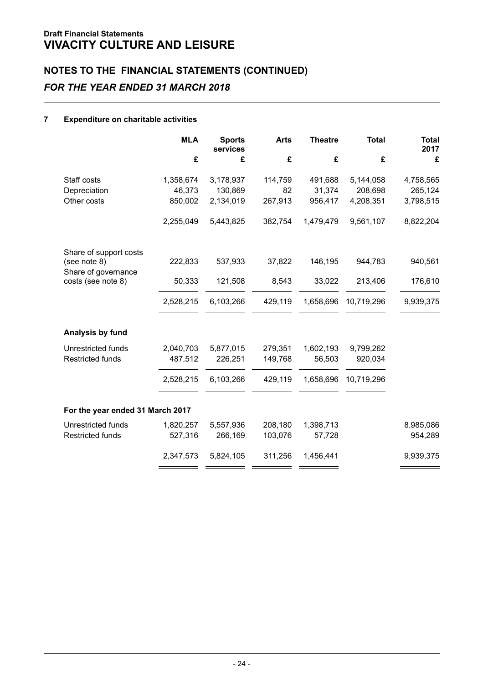### 7 Expenditure on charitable activities

|                                     | <b>MLA</b> | <b>Sports</b><br>services | <b>Arts</b> | <b>Theatre</b> | <b>Total</b> | <b>Total</b><br>2017 |
|-------------------------------------|------------|---------------------------|-------------|----------------|--------------|----------------------|
|                                     | £          | £                         | £           | £              | £            | £                    |
| Staff costs                         | 1,358,674  | 3,178,937                 | 114,759     | 491,688        | 5,144,058    | 4,758,565            |
| Depreciation                        | 46,373     | 130,869                   | 82          | 31,374         | 208,698      | 265,124              |
| Other costs                         | 850,002    | 2,134,019                 | 267,913     | 956,417        | 4,208,351    | 3,798,515            |
|                                     | 2,255,049  | 5,443,825                 | 382,754     | 1,479,479      | 9,561,107    | 8,822,204            |
| Share of support costs              |            |                           |             |                |              |                      |
| (see note 8)<br>Share of governance | 222,833    | 537,933                   | 37,822      | 146,195        | 944,783      | 940,561              |
| costs (see note 8)                  | 50,333     | 121,508                   | 8,543       | 33,022         | 213,406      | 176,610              |
|                                     | 2,528,215  | 6,103,266                 | 429,119     | 1,658,696      | 10,719,296   | 9,939,375            |
| Analysis by fund                    |            |                           |             |                |              |                      |
| <b>Unrestricted funds</b>           | 2,040,703  | 5,877,015                 | 279,351     | 1,602,193      | 9,799,262    |                      |
| <b>Restricted funds</b>             | 487,512    | 226,251                   | 149,768     | 56,503         | 920,034      |                      |
|                                     | 2,528,215  | 6,103,266                 | 429,119     | 1,658,696      | 10,719,296   |                      |
| For the year ended 31 March 2017    |            |                           |             |                |              |                      |
| Unrestricted funds                  |            |                           |             |                |              | 8,985,086            |
| Restricted funds                    | 527,316    | 266,169                   | 103,076     | 57,728         |              | 954,289              |
|                                     | 2,347,573  | 5,824,105                 | 311,256     | 1,456,441      |              | 9,939,375            |
|                                     | 1,820,257  | 5,557,936                 | 208,180     | 1,398,713      |              |                      |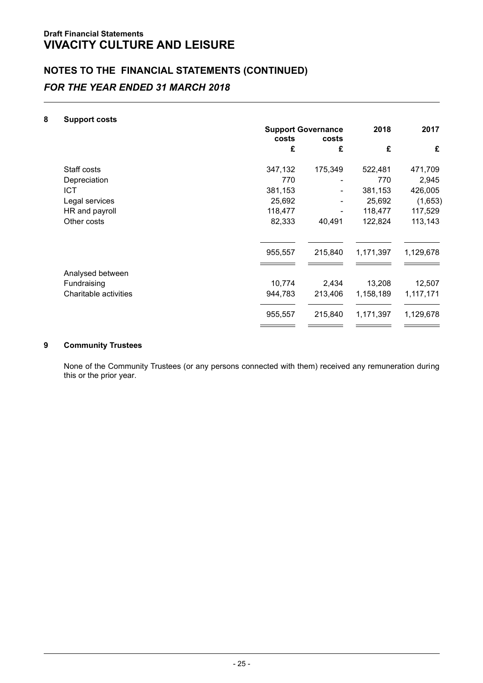## FOR THE YEAR ENDED 31 MARCH 2018

### 8 Support costs

|                       |         | <b>Support Governance</b> | 2018      | 2017      |  |
|-----------------------|---------|---------------------------|-----------|-----------|--|
|                       | costs   | costs                     |           |           |  |
|                       | £       | £                         | £         | £         |  |
| Staff costs           | 347,132 | 175,349                   | 522,481   | 471,709   |  |
| Depreciation          | 770     |                           | 770       | 2,945     |  |
| ICT                   | 381,153 |                           | 381,153   | 426,005   |  |
| Legal services        | 25,692  |                           | 25,692    | (1,653)   |  |
| HR and payroll        | 118,477 |                           | 118,477   | 117,529   |  |
| Other costs           | 82,333  | 40,491                    | 122,824   | 113,143   |  |
|                       | 955,557 | 215,840                   | 1,171,397 | 1,129,678 |  |
| Analysed between      |         |                           |           |           |  |
| Fundraising           | 10,774  | 2,434                     | 13,208    | 12,507    |  |
| Charitable activities | 944,783 | 213,406                   | 1,158,189 | 1,117,171 |  |
|                       | 955,557 | 215,840                   | 1,171,397 | 1,129,678 |  |
|                       |         |                           |           |           |  |

### 9 Community Trustees

None of the Community Trustees (or any persons connected with them) received any remuneration during this or the prior year.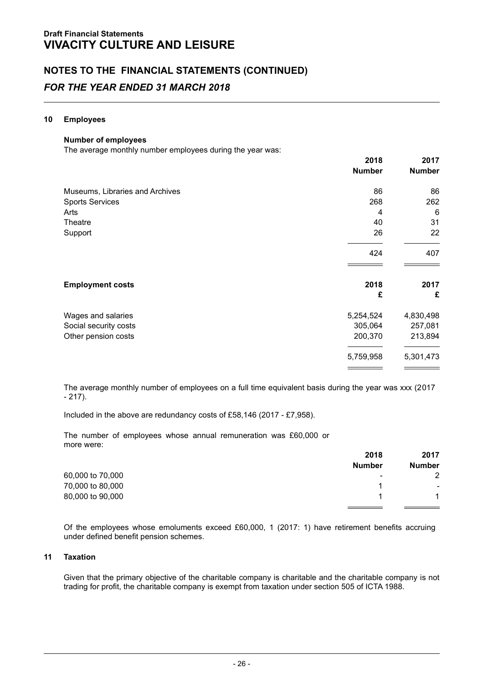## FOR THE YEAR ENDED 31 MARCH 2018

### 10 Employees

### Number of employees

The average monthly number employees during the year was:

|                                 | 2018          | 2017          |
|---------------------------------|---------------|---------------|
|                                 | <b>Number</b> | <b>Number</b> |
| Museums, Libraries and Archives | 86            | 86            |
| <b>Sports Services</b>          | 268           | 262           |
| Arts                            | 4             | 6             |
| Theatre                         | 40            | 31            |
| Support                         | 26            | 22            |
|                                 | 424           | 407           |
| <b>Employment costs</b>         | 2018          | 2017          |
|                                 | £             | £             |
| Wages and salaries              | 5,254,524     | 4,830,498     |
| Social security costs           | 305,064       | 257,081       |
| Other pension costs             | 200,370       | 213,894       |
|                                 | 5,759,958     | 5,301,473     |
|                                 |               |               |

The average monthly number of employees on a full time equivalent basis during the year was xxx (2017  $-217$ ).

Included in the above are redundancy costs of £58,146 (2017 - £7,958).

The number of employees whose annual remuneration was £60,000 or more were:

|                  | 2018          | 2017          |
|------------------|---------------|---------------|
|                  | <b>Number</b> | <b>Number</b> |
| 60,000 to 70,000 | -             | $\mathbf{2}$  |
| 70,000 to 80,000 |               | -             |
| 80,000 to 90,000 |               |               |
|                  |               |               |

Of the employees whose emoluments exceed £60,000, 1 (2017: 1) have retirement benefits accruing under defined benefit pension schemes.

### 11 Taxation

Given that the primary objective of the charitable company is charitable and the charitable company is not trading for profit, the charitable company is exempt from taxation under section 505 of ICTA 1988.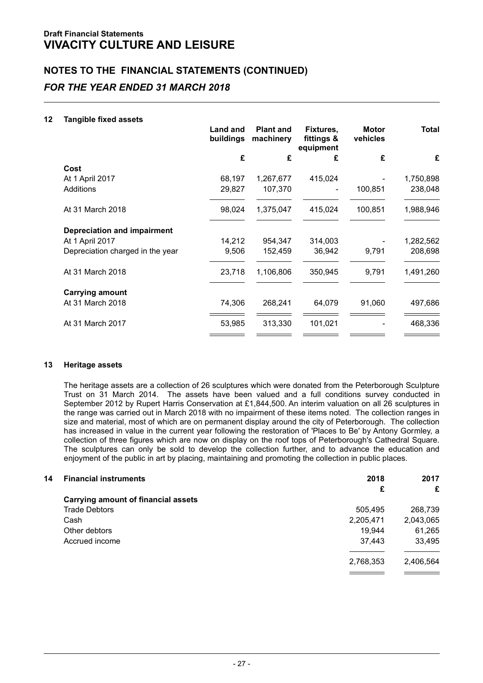### FOR THE YEAR ENDED 31 MARCH 2018

### 12 Tangible fixed assets

|                                    | <b>Land and</b><br>buildings | <b>Plant and</b><br>machinery | Fixtures,<br>fittings &<br>equipment | <b>Motor</b><br>vehicles | <b>Total</b> |
|------------------------------------|------------------------------|-------------------------------|--------------------------------------|--------------------------|--------------|
|                                    | £                            | £                             | £                                    | £                        | £            |
| Cost                               |                              |                               |                                      |                          |              |
| At 1 April 2017                    | 68,197                       | 1,267,677                     | 415,024                              |                          | 1,750,898    |
| Additions                          | 29,827                       | 107,370                       |                                      | 100,851                  | 238,048      |
| At 31 March 2018                   | 98,024                       | 1,375,047                     | 415,024                              | 100,851                  | 1,988,946    |
| <b>Depreciation and impairment</b> |                              |                               |                                      |                          |              |
| At 1 April 2017                    | 14,212                       | 954,347                       | 314,003                              |                          | 1,282,562    |
| Depreciation charged in the year   | 9,506                        | 152,459                       | 36,942                               | 9,791                    | 208,698      |
| At 31 March 2018                   | 23,718                       | 1,106,806                     | 350,945                              | 9,791                    | 1,491,260    |
| <b>Carrying amount</b>             |                              |                               |                                      |                          |              |
| At 31 March 2018                   | 74,306                       | 268,241                       | 64,079                               | 91,060                   | 497,686      |
| At 31 March 2017                   | 53,985                       | 313,330                       | 101,021                              |                          | 468,336      |
|                                    |                              |                               |                                      |                          |              |

### 13 Heritage assets

The heritage assets are a collection of 26 sculptures which were donated from the Peterborough Sculpture Trust on 31 March 2014. The assets have been valued and a full conditions survey conducted in September 2012 by Rupert Harris Conservation at £1,844,500. An interim valuation on all 26 sculptures in the range was carried out in March 2018 with no impairment of these items noted. The collection ranges in size and material, most of which are on permanent display around the city of Peterborough. The collection has increased in value in the current year following the restoration of 'Places to Be' by Antony Gormley, a collection of three figures which are now on display on the roof tops of Peterborough's Cathedral Square. The sculptures can only be sold to develop the collection further, and to advance the education and enjoyment of the public in art by placing, maintaining and promoting the collection in public places.

| 14 | <b>Financial instruments</b>               | 2018      | 2017      |
|----|--------------------------------------------|-----------|-----------|
|    |                                            | £         | £         |
|    | <b>Carrying amount of financial assets</b> |           |           |
|    | <b>Trade Debtors</b>                       | 505,495   | 268,739   |
|    | Cash                                       | 2,205,471 | 2,043,065 |
|    | Other debtors                              | 19,944    | 61,265    |
|    | Accrued income                             | 37,443    | 33,495    |
|    |                                            | 2,768,353 | 2,406,564 |
|    |                                            |           |           |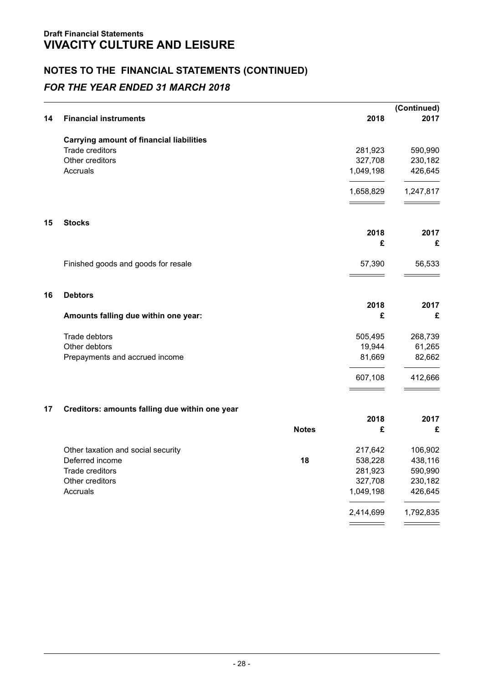## FOR THE YEAR ENDED 31 MARCH 2018

|    |                                                 |              |           | (Continued) |
|----|-------------------------------------------------|--------------|-----------|-------------|
| 14 | <b>Financial instruments</b>                    |              | 2018      | 2017        |
|    | <b>Carrying amount of financial liabilities</b> |              |           |             |
|    | <b>Trade creditors</b>                          |              | 281,923   | 590,990     |
|    | Other creditors                                 |              | 327,708   | 230,182     |
|    | Accruals                                        |              | 1,049,198 | 426,645     |
|    |                                                 |              | 1,658,829 | 1,247,817   |
| 15 | <b>Stocks</b>                                   |              |           |             |
|    |                                                 |              | 2018      | 2017        |
|    |                                                 |              | £         | £           |
|    | Finished goods and goods for resale             |              | 57,390    | 56,533      |
| 16 | <b>Debtors</b>                                  |              |           |             |
|    |                                                 |              | 2018      | 2017        |
|    | Amounts falling due within one year:            |              | £         | £           |
|    | Trade debtors                                   |              | 505,495   | 268,739     |
|    | Other debtors                                   |              | 19,944    | 61,265      |
|    | Prepayments and accrued income                  |              | 81,669    | 82,662      |
|    |                                                 |              | 607,108   | 412,666     |
| 17 | Creditors: amounts falling due within one year  |              |           |             |
|    |                                                 |              | 2018      | 2017        |
|    |                                                 | <b>Notes</b> | £         | £           |
|    | Other taxation and social security              |              | 217,642   | 106,902     |
|    | Deferred income                                 | 18           | 538,228   | 438,116     |
|    | <b>Trade creditors</b>                          |              | 281,923   | 590,990     |
|    | Other creditors                                 |              | 327,708   | 230,182     |
|    | Accruals                                        |              | 1,049,198 | 426,645     |
|    |                                                 |              | 2,414,699 | 1,792,835   |
|    |                                                 |              |           |             |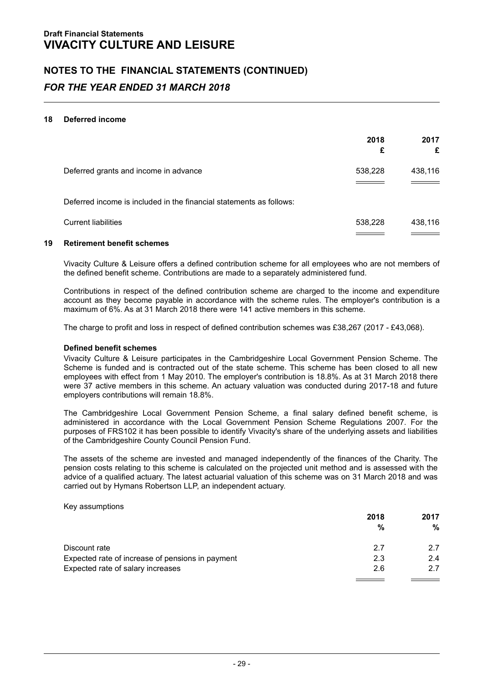### 18 Deferred income

|                                                                     | 2018<br>£ | 2017<br>£ |
|---------------------------------------------------------------------|-----------|-----------|
| Deferred grants and income in advance                               | 538,228   | 438,116   |
| Deferred income is included in the financial statements as follows: |           |           |
| <b>Current liabilities</b>                                          | 538,228   | 438,116   |
|                                                                     |           |           |

### 19 Retirement benefit schemes

Vivacity Culture & Leisure offers a defined contribution scheme for all employees who are not members of the defined benefit scheme. Contributions are made to a separately administered fund.

Contributions in respect of the defined contribution scheme are charged to the income and expenditure account as they become payable in accordance with the scheme rules. The employer's contribution is a maximum of 6%. As at 31 March 2018 there were 141 active members in this scheme.

The charge to profit and loss in respect of defined contribution schemes was £38,267 (2017 - £43,068).

### Defined benefit schemes

Vivacity Culture & Leisure participates in the Cambridgeshire Local Government Pension Scheme. The Scheme is funded and is contracted out of the state scheme. This scheme has been closed to all new employees with effect from 1 May 2010. The employer's contribution is 18.8%. As at 31 March 2018 there were 37 active members in this scheme. An actuary valuation was conducted during 2017-18 and future employers contributions will remain 18.8%.

The Cambridgeshire Local Government Pension Scheme, a final salary defined benefit scheme, is administered in accordance with the Local Government Pension Scheme Regulations 2007. For the purposes of FRS102 it has been possible to identify Vivacity's share of the underlying assets and liabilities of the Cambridgeshire County Council Pension Fund.

The assets of the scheme are invested and managed independently of the finances of the Charity. The pension costs relating to this scheme is calculated on the projected unit method and is assessed with the advice of a qualified actuary. The latest actuarial valuation of this scheme was on 31 March 2018 and was carried out by Hymans Robertson LLP, an independent actuary.

### Key assumptions

|                                                  | 2018 | 2017 |
|--------------------------------------------------|------|------|
|                                                  | %    | %    |
| Discount rate                                    | 2.7  | 27   |
| Expected rate of increase of pensions in payment | 2.3  | 2.4  |
| Expected rate of salary increases                | 2.6  | 2.7  |
|                                                  |      |      |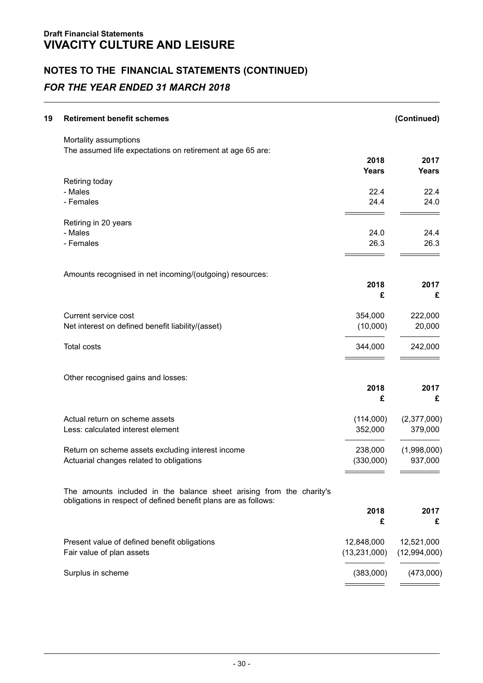## FOR THE YEAR ENDED 31 MARCH 2018

| 19 | <b>Retirement benefit schemes</b>                                                                                                       |                | (Continued)  |
|----|-----------------------------------------------------------------------------------------------------------------------------------------|----------------|--------------|
|    | Mortality assumptions<br>The assumed life expectations on retirement at age 65 are:                                                     | 2018           | 2017         |
|    |                                                                                                                                         | <b>Years</b>   | <b>Years</b> |
|    | Retiring today<br>- Males                                                                                                               | 22.4           | 22.4         |
|    | - Females                                                                                                                               | 24.4           | 24.0         |
|    | Retiring in 20 years                                                                                                                    |                |              |
|    | - Males                                                                                                                                 | 24.0           | 24.4         |
|    | - Females                                                                                                                               | 26.3           | 26.3         |
|    | Amounts recognised in net incoming/(outgoing) resources:                                                                                | 2018           | 2017         |
|    |                                                                                                                                         | £              | £            |
|    | Current service cost                                                                                                                    | 354,000        | 222,000      |
|    | Net interest on defined benefit liability/(asset)                                                                                       | (10,000)       | 20,000       |
|    | <b>Total costs</b>                                                                                                                      | 344,000        | 242,000      |
|    | Other recognised gains and losses:                                                                                                      |                |              |
|    |                                                                                                                                         | 2018<br>£      | 2017<br>£    |
|    | Actual return on scheme assets                                                                                                          | (114,000)      | (2,377,000)  |
|    | Less: calculated interest element                                                                                                       | 352,000        | 379,000      |
|    | Return on scheme assets excluding interest income                                                                                       | 238,000        | (1,998,000)  |
|    | Actuarial changes related to obligations                                                                                                | (330,000)      | 937,000      |
|    | The amounts included in the balance sheet arising from the charity's<br>obligations in respect of defined benefit plans are as follows: |                |              |
|    |                                                                                                                                         | 2018<br>£      | 2017<br>£    |
|    | Present value of defined benefit obligations                                                                                            | 12,848,000     | 12,521,000   |
|    | Fair value of plan assets                                                                                                               | (13, 231, 000) | (12,994,000) |
|    | Surplus in scheme                                                                                                                       | (383,000)      | (473,000)    |
|    |                                                                                                                                         |                |              |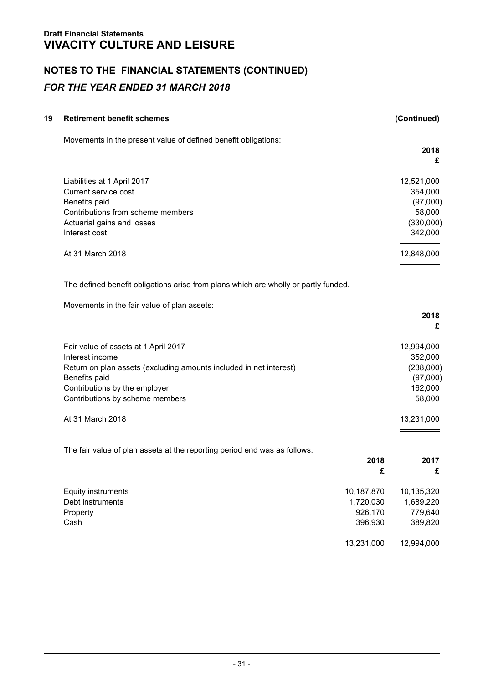| 19 | <b>Retirement benefit schemes</b>                                                   |            | (Continued)         |
|----|-------------------------------------------------------------------------------------|------------|---------------------|
|    | Movements in the present value of defined benefit obligations:                      |            |                     |
|    |                                                                                     |            | 2018<br>£           |
|    | Liabilities at 1 April 2017                                                         |            | 12,521,000          |
|    | Current service cost                                                                |            | 354,000             |
|    | Benefits paid                                                                       |            | (97,000)            |
|    | Contributions from scheme members                                                   |            | 58,000              |
|    | Actuarial gains and losses                                                          |            | (330,000)           |
|    | Interest cost                                                                       |            | 342,000             |
|    | At 31 March 2018                                                                    |            | 12,848,000          |
|    | The defined benefit obligations arise from plans which are wholly or partly funded. |            |                     |
|    | Movements in the fair value of plan assets:                                         |            |                     |
|    |                                                                                     |            | 2018<br>£           |
|    | Fair value of assets at 1 April 2017                                                |            | 12,994,000          |
|    | Interest income                                                                     |            | 352,000             |
|    | Return on plan assets (excluding amounts included in net interest)                  |            | (238,000)           |
|    | Benefits paid<br>Contributions by the employer                                      |            | (97,000)<br>162,000 |
|    | Contributions by scheme members                                                     |            | 58,000              |
|    | At 31 March 2018                                                                    |            | 13,231,000          |
|    | The fair value of plan assets at the reporting period end was as follows:           |            |                     |
|    |                                                                                     | 2018       | 2017                |
|    |                                                                                     | £          | £                   |
|    | Equity instruments                                                                  | 10,187,870 | 10,135,320          |
|    | Debt instruments                                                                    | 1,720,030  | 1,689,220           |
|    | Property                                                                            | 926,170    | 779,640             |
|    | Cash                                                                                | 396,930    | 389,820             |
|    |                                                                                     | 13,231,000 | 12,994,000          |
|    |                                                                                     |            |                     |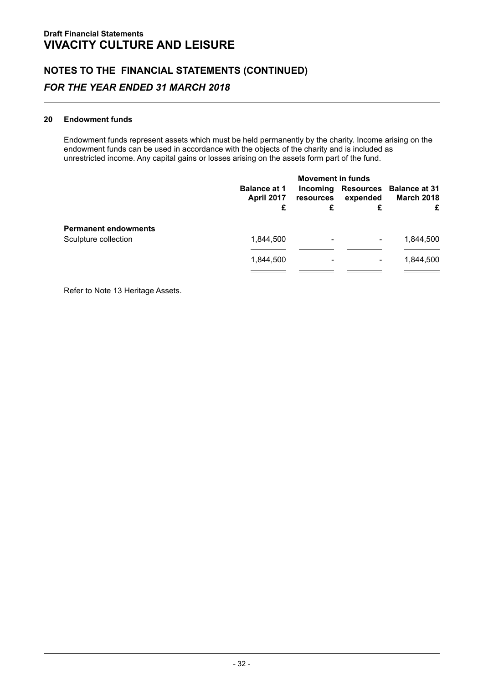### 20 Endowment funds

Endowment funds represent assets which must be held permanently by the charity. Income arising on the endowment funds can be used in accordance with the objects of the charity and is included as unrestricted income. Any capital gains or losses arising on the assets form part of the fund.

|                             | <b>Movement in funds</b>                 |                              |          |                                                       |
|-----------------------------|------------------------------------------|------------------------------|----------|-------------------------------------------------------|
|                             | <b>Balance at 1</b><br><b>April 2017</b> | resources                    | expended | Incoming Resources Balance at 31<br><b>March 2018</b> |
|                             | £                                        | £                            | £        | £                                                     |
| <b>Permanent endowments</b> |                                          |                              |          |                                                       |
| Sculpture collection        | 1,844,500                                | $\overline{\phantom{0}}$     |          | 1,844,500                                             |
|                             | 1,844,500                                | $\qquad \qquad \blacksquare$ |          | 1,844,500                                             |
|                             |                                          |                              |          |                                                       |

Refer to Note 13 Heritage Assets.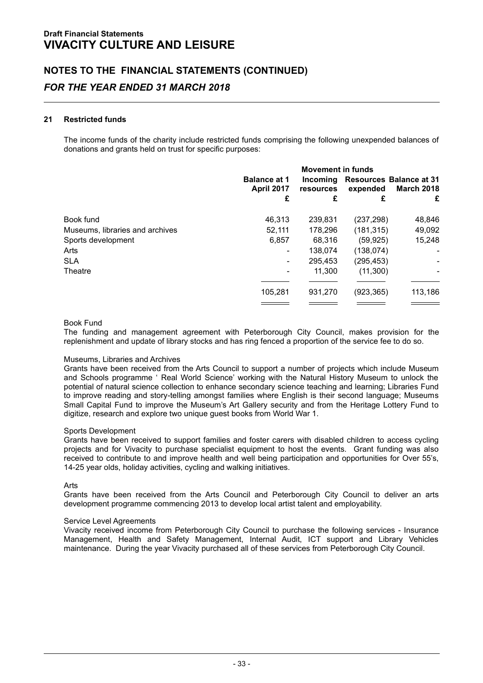### 21 Restricted funds

The income funds of the charity include restricted funds comprising the following unexpended balances of donations and grants held on trust for specific purposes:

|                                 | <b>Movement in funds</b>                 |                              |            |                                                     |
|---------------------------------|------------------------------------------|------------------------------|------------|-----------------------------------------------------|
|                                 | <b>Balance at 1</b><br><b>April 2017</b> | <b>Incoming</b><br>resources | expended   | <b>Resources Balance at 31</b><br><b>March 2018</b> |
|                                 | £                                        | £                            | £          | £                                                   |
| Book fund                       | 46,313                                   | 239,831                      | (237, 298) | 48,846                                              |
| Museums, libraries and archives | 52,111                                   | 178,296                      | (181, 315) | 49,092                                              |
| Sports development              | 6,857                                    | 68.316                       | (59, 925)  | 15,248                                              |
| Arts                            | $\overline{\phantom{a}}$                 | 138.074                      | (138, 074) |                                                     |
| <b>SLA</b>                      | $\overline{\phantom{a}}$                 | 295,453                      | (295,453)  |                                                     |
| Theatre                         | $\overline{\phantom{a}}$                 | 11.300                       | (11,300)   |                                                     |
|                                 | 105,281                                  | 931,270                      | (923,365)  | 113,186                                             |
|                                 |                                          |                              |            |                                                     |

#### Book Fund

The funding and management agreement with Peterborough City Council, makes provision for the replenishment and update of library stocks and has ring fenced a proportion of the service fee to do so.

### Museums, Libraries and Archives

Grants have been received from the Arts Council to support a number of projects which include Museum and Schools programme ' Real World Science' working with the Natural History Museum to unlock the potential of natural science collection to enhance secondary science teaching and learning; Libraries Fund to improve reading and story-telling amongst families where English is their second language; Museums Small Capital Fund to improve the Museum's Art Gallery security and from the Heritage Lottery Fund to digitize, research and explore two unique guest books from World War 1.

### Sports Development

Grants have been received to support families and foster carers with disabled children to access cycling projects and for Vivacity to purchase specialist equipment to host the events. Grant funding was also received to contribute to and improve health and well being participation and opportunities for Over 55's, 14-25 year olds, holiday activities, cycling and walking initiatives.

### Arts

Grants have been received from the Arts Council and Peterborough City Council to deliver an arts development programme commencing 2013 to develop local artist talent and employability.

### Service Level Agreements

Vivacity received income from Peterborough City Council to purchase the following services - Insurance Management, Health and Safety Management, Internal Audit, ICT support and Library Vehicles maintenance. During the year Vivacity purchased all of these services from Peterborough City Council.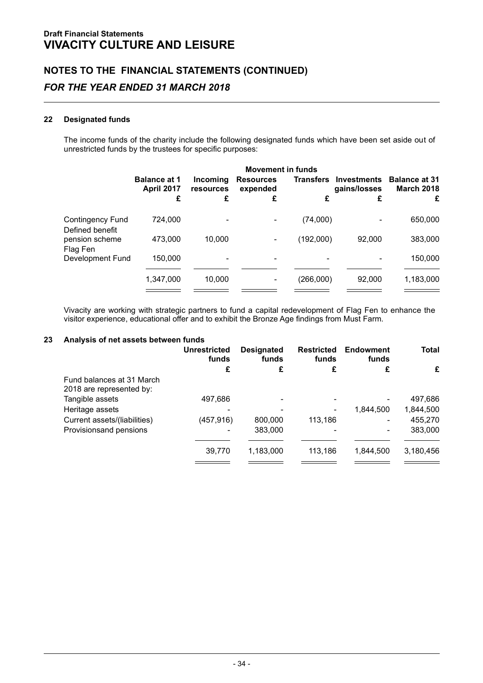### 22 Designated funds

The income funds of the charity include the following designated funds which have been set aside out of unrestricted funds by the trustees for specific purposes:

|                                     | <b>Movement in funds</b>                 |                              |                              |                  |                                    |                                           |
|-------------------------------------|------------------------------------------|------------------------------|------------------------------|------------------|------------------------------------|-------------------------------------------|
|                                     | <b>Balance at 1</b><br><b>April 2017</b> | <b>Incoming</b><br>resources | <b>Resources</b><br>expended | <b>Transfers</b> | <b>Investments</b><br>gains/losses | <b>Balance at 31</b><br><b>March 2018</b> |
|                                     | £                                        | £                            | £                            | £                | £                                  | £                                         |
| Contingency Fund<br>Defined benefit | 724,000                                  |                              |                              | (74,000)         |                                    | 650,000                                   |
| pension scheme<br>Flag Fen          | 473,000                                  | 10,000                       |                              | (192,000)        | 92,000                             | 383,000                                   |
| Development Fund                    | 150,000                                  |                              |                              |                  |                                    | 150,000                                   |
|                                     | 1,347,000                                | 10,000                       |                              | (266,000)        | 92,000                             | 1,183,000                                 |
|                                     |                                          |                              |                              |                  |                                    |                                           |

Vivacity are working with strategic partners to fund a capital redevelopment of Flag Fen to enhance the visitor experience, educational offer and to exhibit the Bronze Age findings from Must Farm.

### 23 Analysis of net assets between funds

|                                                       | <b>Unrestricted</b><br>funds | <b>Designated</b><br>funds | <b>Restricted</b><br>funds | <b>Endowment</b><br>funds | <b>Total</b> |
|-------------------------------------------------------|------------------------------|----------------------------|----------------------------|---------------------------|--------------|
|                                                       | £                            | £                          |                            | £                         | £            |
| Fund balances at 31 March<br>2018 are represented by: |                              |                            |                            |                           |              |
| Tangible assets                                       | 497,686                      |                            |                            |                           | 497,686      |
| Heritage assets                                       |                              |                            |                            | 1.844.500                 | 1,844,500    |
| Current assets/(liabilities)                          | (457, 916)                   | 800,000                    | 113.186                    |                           | 455,270      |
| Provisionsand pensions                                |                              | 383,000                    |                            | $\overline{\phantom{a}}$  | 383,000      |
|                                                       | 39,770                       | 1,183,000                  | 113.186                    | 1,844,500                 | 3,180,456    |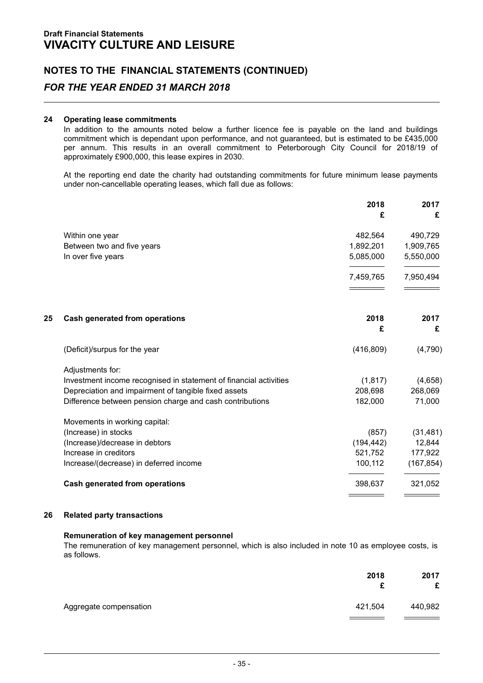### FOR THE YEAR ENDED 31 MARCH 2018

### 24 Operating lease commitments

In addition to the amounts noted below a further licence fee is payable on the land and buildings commitment which is dependant upon performance, and not guaranteed, but is estimated to be £435,000 per annum. This results in an overall commitment to Peterborough City Council for 2018/19 of approximately £900,000, this lease expires in 2030.

At the reporting end date the charity had outstanding commitments for future minimum lease payments under non-cancellable operating leases, which fall due as follows:

|    |                                                                   | 2018<br>£  | 2017<br>£  |
|----|-------------------------------------------------------------------|------------|------------|
|    | Within one year                                                   | 482,564    | 490,729    |
|    | Between two and five years                                        | 1,892,201  | 1,909,765  |
|    | In over five years                                                | 5,085,000  | 5,550,000  |
|    |                                                                   | 7,459,765  | 7,950,494  |
| 25 | <b>Cash generated from operations</b>                             | 2018<br>£  | 2017<br>£  |
|    | (Deficit)/surpus for the year                                     | (416, 809) | (4,790)    |
|    | Adjustments for:                                                  |            |            |
|    | Investment income recognised in statement of financial activities | (1, 817)   | (4,658)    |
|    | Depreciation and impairment of tangible fixed assets              | 208,698    | 268,069    |
|    | Difference between pension charge and cash contributions          | 182,000    | 71,000     |
|    | Movements in working capital:                                     |            |            |
|    | (Increase) in stocks                                              | (857)      | (31, 481)  |
|    | (Increase)/decrease in debtors                                    | (194, 442) | 12,844     |
|    | Increase in creditors                                             | 521,752    | 177,922    |
|    | Increase/(decrease) in deferred income                            | 100,112    | (167, 854) |
|    | <b>Cash generated from operations</b>                             | 398,637    | 321,052    |
|    |                                                                   |            |            |

### 26 Related party transactions

### Remuneration of key management personnel

The remuneration of key management personnel, which is also included in note 10 as employee costs, is as follows.

|                        | 2018<br>c | 2017<br>£ |
|------------------------|-----------|-----------|
| Aggregate compensation | 421,504   | 440,982   |